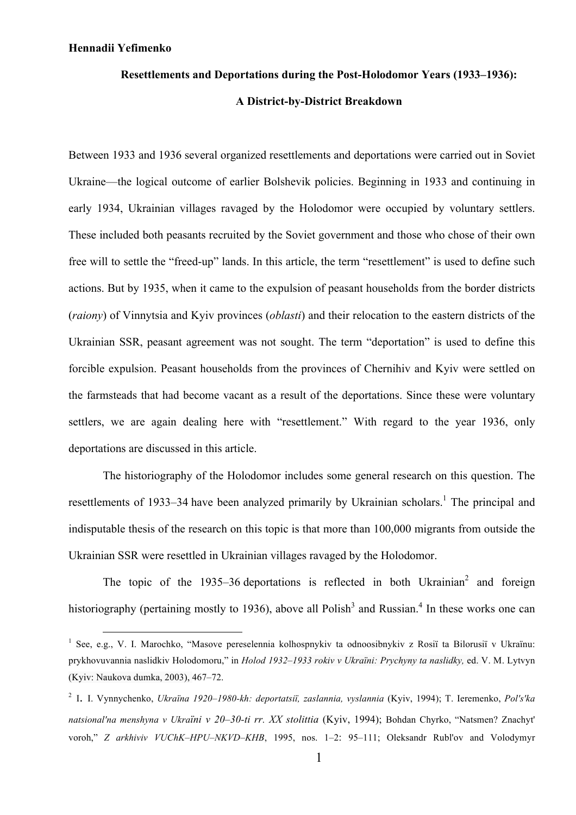#### **Resettlements and Deportations during the Post-Holodomor Years (1933–1936):**

### **A District-by-District Breakdown**

Between 1933 and 1936 several organized resettlements and deportations were carried out in Soviet Ukraine—the logical outcome of earlier Bolshevik policies. Beginning in 1933 and continuing in early 1934, Ukrainian villages ravaged by the Holodomor were occupied by voluntary settlers. These included both peasants recruited by the Soviet government and those who chose of their own free will to settle the "freed-up" lands. In this article, the term "resettlement" is used to define such actions. But by 1935, when it came to the expulsion of peasant households from the border districts (*raiony*) of Vinnytsia and Kyiv provinces (*oblasti*) and their relocation to the eastern districts of the Ukrainian SSR, peasant agreement was not sought. The term "deportation" is used to define this forcible expulsion. Peasant households from the provinces of Chernihiv and Kyiv were settled on the farmsteads that had become vacant as a result of the deportations. Since these were voluntary settlers, we are again dealing here with "resettlement." With regard to the year 1936, only deportations are discussed in this article.

The historiography of the Holodomor includes some general research on this question. The resettlements of 1933–34 have been analyzed primarily by Ukrainian scholars.<sup>1</sup> The principal and indisputable thesis of the research on this topic is that more than 100,000 migrants from outside the Ukrainian SSR were resettled in Ukrainian villages ravaged by the Holodomor.

The topic of the 1935–36 deportations is reflected in both Ukrainian<sup>2</sup> and foreign historiography (pertaining mostly to 1936), above all Polish<sup>3</sup> and Russian.<sup>4</sup> In these works one can

<sup>&</sup>lt;sup>1</sup> See, e.g., V. I. Marochko, "Masove pereselennia kolhospnykiv ta odnoosibnykiv z Rosiï ta Bilorusiï v Ukraïnu: prykhovuvannia naslidkiv Holodomoru," in *Holod 1932–1933 rokiv v Ukraїni: Prychyny ta naslidky,* ed. V. M. Lytvyn (Kyiv: Naukova dumka, 2003), 467–72.

<sup>2</sup> I. I. Vynnychenko, *Ukraïna 1920–1980-kh: deportatsiï, zaslannia, vyslannia* (Kyiv, 1994); T. Ieremenko, *Pol′s′ka natsional′na menshyna v Ukraїni v 20–30-ti rr. ХХ stolittia* (Kyiv, 1994); Bohdan Chyrko, "Natsmen? Znachyt' voroh," *Z arkhiviv VUChK–HPU–NKVD–KHB*, 1995, nos. 1–2: 95–111; Oleksandr Rubl'ov and Volodymyr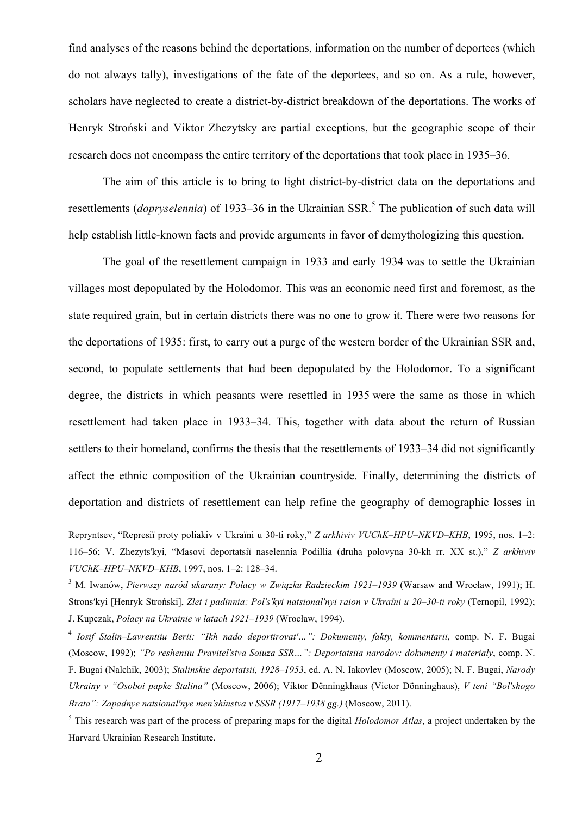find analyses of the reasons behind the deportations, information on the number of deportees (which do not always tally), investigations of the fate of the deportees, and so on. As a rule, however, scholars have neglected to create a district-by-district breakdown of the deportations. The works of Henryk Stroński and Viktor Zhezytsky are partial exceptions, but the geographic scope of their research does not encompass the entire territory of the deportations that took place in 1935–36.

The aim of this article is to bring to light district-by-district data on the deportations and resettlements (*dopryselennia*) of 1933–36 in the Ukrainian SSR. <sup>5</sup> The publication of such data will help establish little-known facts and provide arguments in favor of demythologizing this question.

The goal of the resettlement campaign in 1933 and early 1934 was to settle the Ukrainian villages most depopulated by the Holodomor. This was an economic need first and foremost, as the state required grain, but in certain districts there was no one to grow it. There were two reasons for the deportations of 1935: first, to carry out a purge of the western border of the Ukrainian SSR and, second, to populate settlements that had been depopulated by the Holodomor. To a significant degree, the districts in which peasants were resettled in 1935 were the same as those in which resettlement had taken place in 1933–34. This, together with data about the return of Russian settlers to their homeland, confirms the thesis that the resettlements of 1933–34 did not significantly affect the ethnic composition of the Ukrainian countryside. Finally, determining the districts of deportation and districts of resettlement can help refine the geography of demographic losses in

Repryntsev, "Represi<sup>ї</sup> proty poliakiv <sup>v</sup> Ukraїni <sup>u</sup> 30-ti roky," *<sup>Z</sup> arkhiviv VUChK–HPU–NKVD–KHB*, 1995, nos. 1–2: 116–56; V. Zhezyts'kyi, "Masovi deportatsiї naselennia Podillia (druha polovyna 30-kh rr. ХХ st.)," *Z arkhiviv VUChK–HPU–NKVD–KHB*, 1997, nos. 1–2: 128–34.

<sup>3</sup> M. Іwanów, *Pierwszy naród ukarany: Polacy w Związku Radzieckim 1921–1939* (Warsaw and Wrocław, 1991); H. Strons'kvi [Henryk Stroński], Zlet i padinnia: Pol's'kvi natsional'nyi raion v Ukraïni u 20–30-ti roky (Ternopil, 1992); J. Kupczak, *Polacy na Ukrainie w latach 1921–1939* (Wrocław, 1994).

<sup>4</sup> *Iosif Stalin–Lavrentiiu Berii: "Ikh nado deportirovat′…": Dokumenty, fakty, kommentarii*, comp. N. F. Bugai (Moscow, 1992); *"Po resheniiu Pravitel′stva Soiuza SSR…": Deportatsiia narodov: dokumenty i materialy*, comp. N. F. Bugai (Nalchik, 2003); *Stalinskie deportatsii, 1928–1953*, ed. A. N. Iakovlev (Moscow, 2005); N. F. Bugai, *Narody Ukrainy v "Osoboi papke Stalina"* (Moscow, 2006); Viktor Dënningkhaus (Victor Dönninghaus), *V teni "Bol′shogo Brata": Zapadnye natsional′nye men′shinstva v SSSR (1917–1938 gg.)* (Moscow, 2011).

<sup>5</sup> This research was part of the process of preparing maps for the digital *Holodomor Atlas*, a project undertaken by the Harvard Ukrainian Research Institute.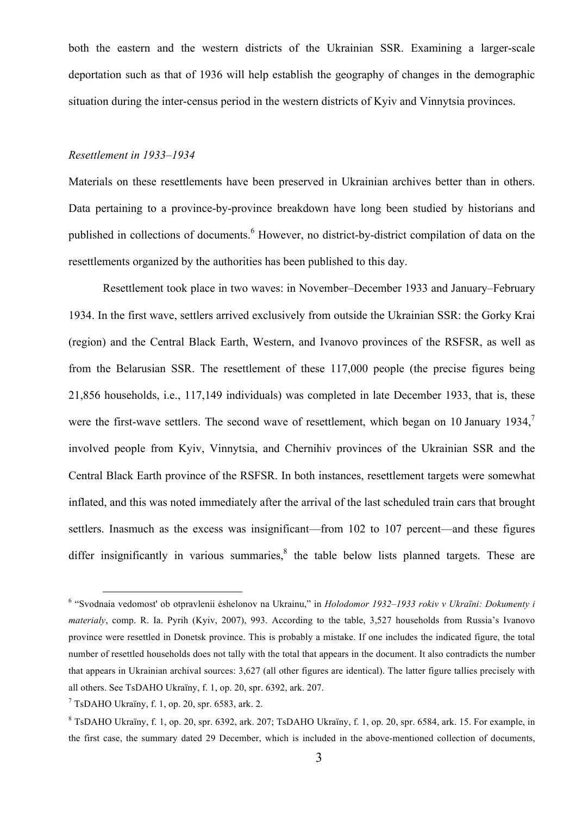both the eastern and the western districts of the Ukrainian SSR. Examining a larger-scale deportation such as that of 1936 will help establish the geography of changes in the demographic situation during the inter-census period in the western districts of Kyiv and Vinnytsia provinces.

### *Resettlement in 1933–1934*

Materials on these resettlements have been preserved in Ukrainian archives better than in others. Data pertaining to a province-by-province breakdown have long been studied by historians and published in collections of documents.<sup>6</sup> However, no district-by-district compilation of data on the resettlements organized by the authorities has been published to this day.

Resettlement took place in two waves: in November–December 1933 and January–February 1934. In the first wave, settlers arrived exclusively from outside the Ukrainian SSR: the Gorky Krai (region) and the Central Black Earth, Western, and Ivanovo provinces of the RSFSR, as well as from the Belarusian SSR. The resettlement of these 117,000 people (the precise figures being 21,856 households, i.e., 117,149 individuals) was completed in late December 1933, that is, these were the first-wave settlers. The second wave of resettlement, which began on 10 January 1934,<sup>7</sup> involved people from Kyiv, Vinnytsia, and Chernihiv provinces of the Ukrainian SSR and the Central Black Earth province of the RSFSR. In both instances, resettlement targets were somewhat inflated, and this was noted immediately after the arrival of the last scheduled train cars that brought settlers. Inasmuch as the excess was insignificant—from 102 to 107 percent—and these figures differ insignificantly in various summaries, $\frac{8}{3}$  the table below lists planned targets. These are

 <sup>6</sup> "Svodnaia vedomost' ob otpravlenii ėshelonov na Ukrainu," in *Holodomor 1932–1933 rokiv v Ukraїni: Dokumenty i materialy*, comp. R. Ia. Pyrih (Kyiv, 2007), 993. According to the table, 3,527 households from Russia's Ivanovo province were resettled in Donetsk province. This is probably a mistake. If one includes the indicated figure, the total number of resettled households does not tally with the total that appears in the document. It also contradicts the number that appears in Ukrainian archival sources: 3,627 (all other figures are identical). The latter figure tallies precisely with all others. See TsDAHO Ukraїny, f. 1, op. 20, spr. 6392, ark. 207.

 $7$  TsDAHO Ukraïny, f. 1, op. 20, spr. 6583, ark. 2.

<sup>8</sup> TsDAHO Ukraїny, f. 1, op. 20, spr. 6392, ark. 207; TsDAHO Ukraїny, f. 1, op. 20, spr. 6584, ark. 15. For example, in the first case, the summary dated 29 December, which is included in the above-mentioned collection of documents,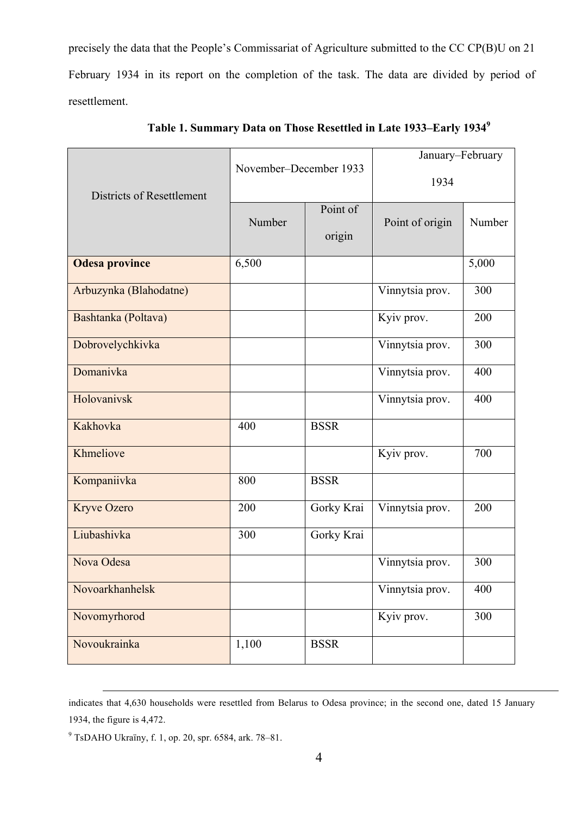precisely the data that the People's Commissariat of Agriculture submitted to the CC CP(B)U on 21 February 1934 in its report on the completion of the task. The data are divided by period of resettlement.

|                                  | November-December 1933 |                    | January-February<br>1934 |        |
|----------------------------------|------------------------|--------------------|--------------------------|--------|
| <b>Districts of Resettlement</b> | Number                 | Point of<br>origin | Point of origin          | Number |
| <b>Odesa province</b>            | 6,500                  |                    |                          | 5,000  |
| Arbuzynka (Blahodatne)           |                        |                    | Vinnytsia prov.          | 300    |
| Bashtanka (Poltava)              |                        |                    | Kyiv prov.               | 200    |
| Dobrovelychkivka                 |                        |                    | Vinnytsia prov.          | 300    |
| Domanivka                        |                        |                    | Vinnytsia prov.          | 400    |
| Holovanivsk                      |                        |                    | Vinnytsia prov.          | 400    |
| Kakhovka                         | 400                    | <b>BSSR</b>        |                          |        |
| Khmeliove                        |                        |                    | Kyiv prov.               | 700    |
| Kompaniivka                      | 800                    | <b>BSSR</b>        |                          |        |
| Kryve Ozero                      | 200                    | Gorky Krai         | Vinnytsia prov.          | 200    |
| Liubashivka                      | 300                    | Gorky Krai         |                          |        |
| Nova Odesa                       |                        |                    | Vinnytsia prov.          | 300    |
| Novoarkhanhelsk                  |                        |                    | Vinnytsia prov.          | 400    |
| Novomyrhorod                     |                        |                    | Kyiv prov.               | 300    |
| Novoukrainka                     | 1,100                  | <b>BSSR</b>        |                          |        |

**Table 1. Summary Data on Those Resettled in Late 1933–Early 19349**

indicates that 4,630 households were resettled from Belarus to Odesa province; in the second one, dated 15 January 1934, the figure is 4,472.

<sup>9</sup> TsDAHO Ukraїny, f. 1, op. 20, spr. 6584, ark. 78–81.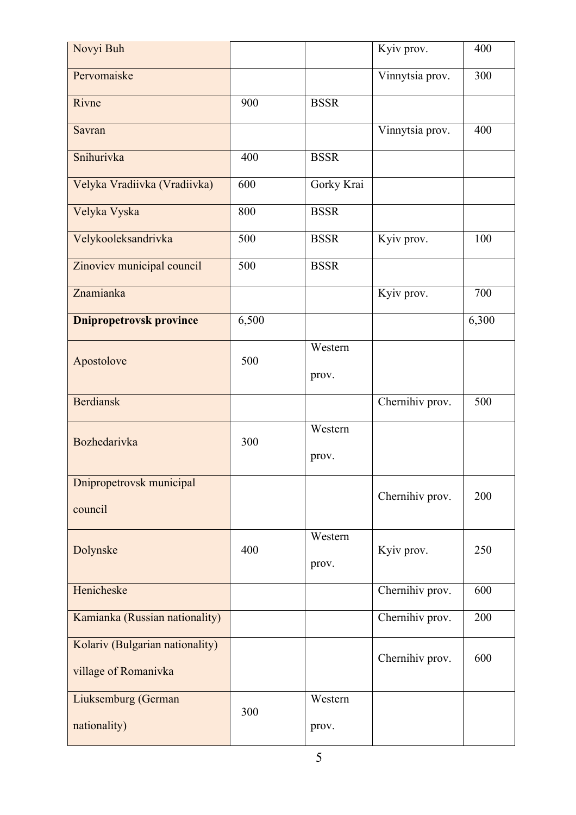| Novyi Buh                                               |       |                  | Kyiv prov.      | 400   |
|---------------------------------------------------------|-------|------------------|-----------------|-------|
| Pervomaiske                                             |       |                  | Vinnytsia prov. | 300   |
| Rivne                                                   | 900   | <b>BSSR</b>      |                 |       |
| Savran                                                  |       |                  | Vinnytsia prov. | 400   |
| Snihurivka                                              | 400   | <b>BSSR</b>      |                 |       |
| Velyka Vradiivka (Vradiivka)                            | 600   | Gorky Krai       |                 |       |
| Velyka Vyska                                            | 800   | <b>BSSR</b>      |                 |       |
| Velykooleksandrivka                                     | 500   | <b>BSSR</b>      | Kyiv prov.      | 100   |
| Zinoviev municipal council                              | 500   | <b>BSSR</b>      |                 |       |
| Znamianka                                               |       |                  | Kyiv prov.      | 700   |
| <b>Dnipropetrovsk province</b>                          | 6,500 |                  |                 | 6,300 |
| Apostolove                                              | 500   | Western<br>prov. |                 |       |
| <b>Berdiansk</b>                                        |       |                  | Chernihiv prov. | 500   |
| Bozhedarivka                                            | 300   | Western<br>prov. |                 |       |
| Dnipropetrovsk municipal                                |       |                  | Chernihiv prov. | 200   |
| council                                                 |       |                  |                 |       |
| Dolynske                                                | 400   | Western<br>prov. | Kyiv prov.      | 250   |
| Henicheske                                              |       |                  | Chernihiv prov. | 600   |
| Kamianka (Russian nationality)                          |       |                  | Chernihiv prov. | 200   |
| Kolariv (Bulgarian nationality)<br>village of Romanivka |       |                  | Chernihiv prov. | 600   |
| Liuksemburg (German<br>nationality)                     | 300   | Western<br>prov. |                 |       |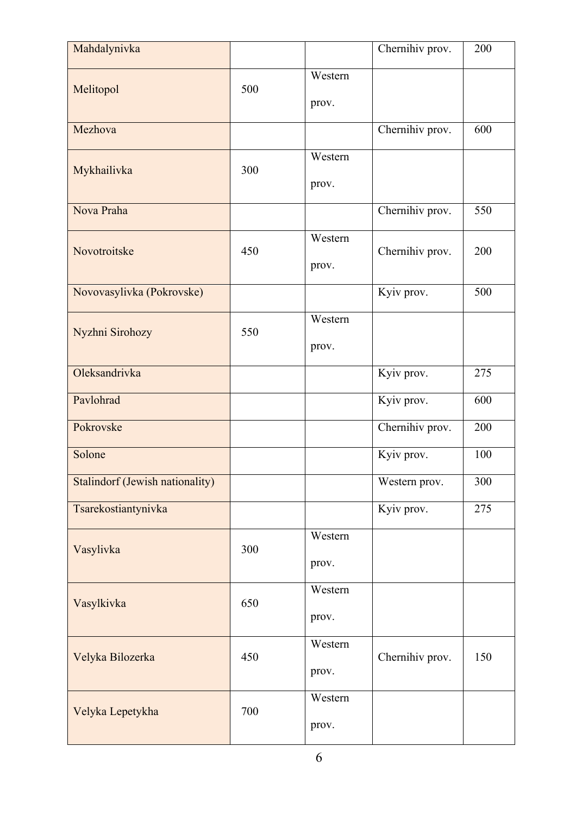| Mahdalynivka                           |     |                  | Chernihiv prov. | 200 |
|----------------------------------------|-----|------------------|-----------------|-----|
| Melitopol                              | 500 | Western<br>prov. |                 |     |
| Mezhova                                |     |                  | Chernihiv prov. | 600 |
| Mykhailivka                            | 300 | Western<br>prov. |                 |     |
| Nova Praha                             |     |                  | Chernihiv prov. | 550 |
| Novotroitske                           | 450 | Western<br>prov. | Chernihiv prov. | 200 |
| Novovasylivka (Pokrovske)              |     |                  | Kyiv prov.      | 500 |
| Nyzhni Sirohozy                        | 550 | Western<br>prov. |                 |     |
| Oleksandrivka                          |     |                  | Kyiv prov.      | 275 |
| Pavlohrad                              |     |                  | Kyiv prov.      | 600 |
| Pokrovske                              |     |                  | Chernihiv prov. | 200 |
| Solone                                 |     |                  | Kyiv prov.      | 100 |
| <b>Stalindorf (Jewish nationality)</b> |     |                  | Western prov.   | 300 |
| Tsarekostiantynivka                    |     |                  | Kyiv prov.      | 275 |
| Vasylivka                              | 300 | Western<br>prov. |                 |     |
| Vasylkivka                             | 650 | Western<br>prov. |                 |     |
| Velyka Bilozerka                       | 450 | Western<br>prov. | Chernihiv prov. | 150 |
| Velyka Lepetykha                       | 700 | Western<br>prov. |                 |     |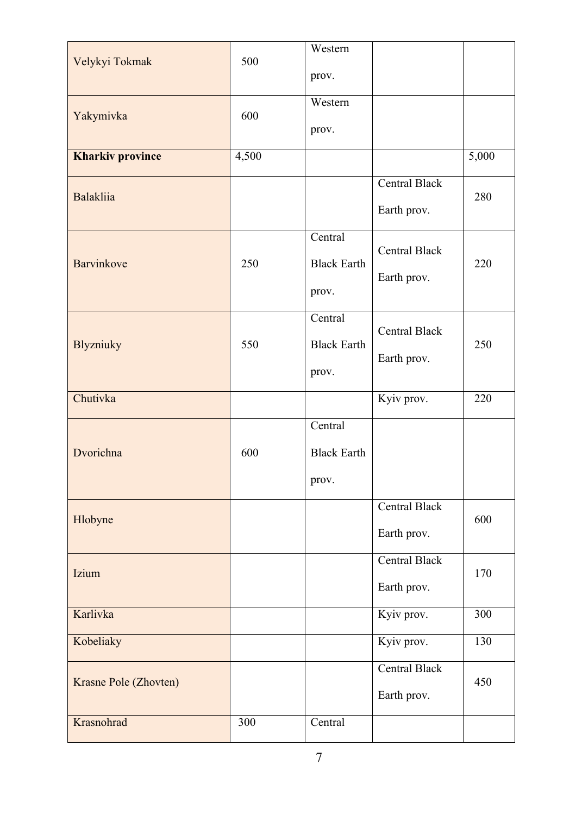|                         |       | Western            |                          |       |
|-------------------------|-------|--------------------|--------------------------|-------|
| Velykyi Tokmak          | 500   |                    |                          |       |
|                         |       | prov.              |                          |       |
|                         |       | Western            |                          |       |
| Yakymivka               | 600   |                    |                          |       |
|                         |       | prov.              |                          |       |
| <b>Kharkiv province</b> | 4,500 |                    |                          | 5,000 |
|                         |       |                    |                          |       |
|                         |       |                    | Central Black            |       |
| <b>Balakliia</b>        |       |                    | Earth prov.              | 280   |
|                         |       |                    |                          |       |
|                         |       | Central            |                          |       |
| <b>Barvinkove</b>       | 250   | <b>Black Earth</b> | <b>Central Black</b>     | 220   |
|                         |       |                    | Earth prov.              |       |
|                         |       | prov.              |                          |       |
|                         |       | Central            |                          |       |
|                         |       |                    | <b>Central Black</b>     |       |
| <b>Blyzniuky</b>        | 550   | <b>Black Earth</b> |                          | 250   |
|                         |       | prov.              | Earth prov.              |       |
|                         |       |                    |                          |       |
| Chutivka                |       |                    | $\overline{K}$ yiv prov. | 220   |
|                         |       | Central            |                          |       |
| Dvorichna               | 600   | <b>Black Earth</b> |                          |       |
|                         |       |                    |                          |       |
|                         |       | prov.              |                          |       |
|                         |       |                    | Central Black            |       |
| Hlobyne                 |       |                    |                          | 600   |
|                         |       |                    | Earth prov.              |       |
|                         |       |                    | Central Black            |       |
| Izium                   |       |                    | Earth prov.              | 170   |
|                         |       |                    |                          |       |
| Karlivka                |       |                    | Kyiv prov.               | 300   |
| Kobeliaky               |       |                    | Kyiv prov.               | 130   |
|                         |       |                    | <b>Central Black</b>     |       |
| Krasne Pole (Zhovten)   |       |                    |                          | 450   |
|                         |       |                    | Earth prov.              |       |
| Krasnohrad              | 300   | Central            |                          |       |
|                         |       |                    |                          |       |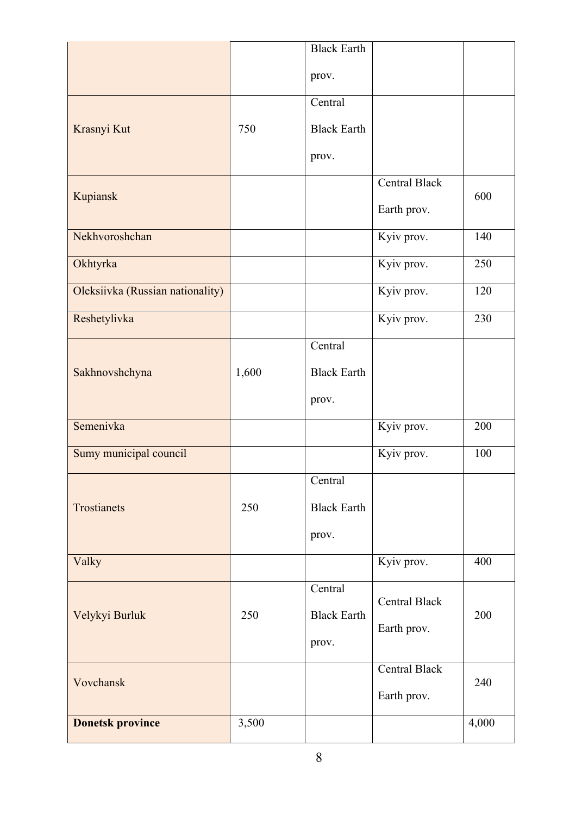|                                  |       | <b>Black Earth</b> |                      |       |
|----------------------------------|-------|--------------------|----------------------|-------|
|                                  |       | prov.              |                      |       |
|                                  |       | Central            |                      |       |
| Krasnyi Kut                      | 750   | <b>Black Earth</b> |                      |       |
|                                  |       | prov.              |                      |       |
|                                  |       |                    | <b>Central Black</b> | 600   |
| Kupiansk                         |       |                    | Earth prov.          |       |
| Nekhvoroshchan                   |       |                    | Kyiv prov.           | 140   |
| Okhtyrka                         |       |                    | Kyiv prov.           | 250   |
| Oleksiivka (Russian nationality) |       |                    | Kyiv prov.           | 120   |
| Reshetylivka                     |       |                    | Kyiv prov.           | 230   |
|                                  |       | Central            |                      |       |
| Sakhnovshchyna                   | 1,600 | <b>Black Earth</b> |                      |       |
|                                  |       | prov.              |                      |       |
| Semenivka                        |       |                    | Kyiv prov.           | 200   |
| Sumy municipal council           |       |                    | Kyiv prov.           | 100   |
|                                  |       | Central            |                      |       |
| Trostianets                      | 250   | <b>Black Earth</b> |                      |       |
|                                  |       | prov.              |                      |       |
| Valky                            |       |                    | Kyiv prov.           | 400   |
|                                  |       | Central            | <b>Central Black</b> |       |
| Velykyi Burluk                   | 250   | <b>Black Earth</b> |                      | 200   |
|                                  |       | prov.              | Earth prov.          |       |
|                                  |       |                    | Central Black        |       |
| Vovchansk                        |       |                    | Earth prov.          | 240   |
| <b>Donetsk province</b>          | 3,500 |                    |                      | 4,000 |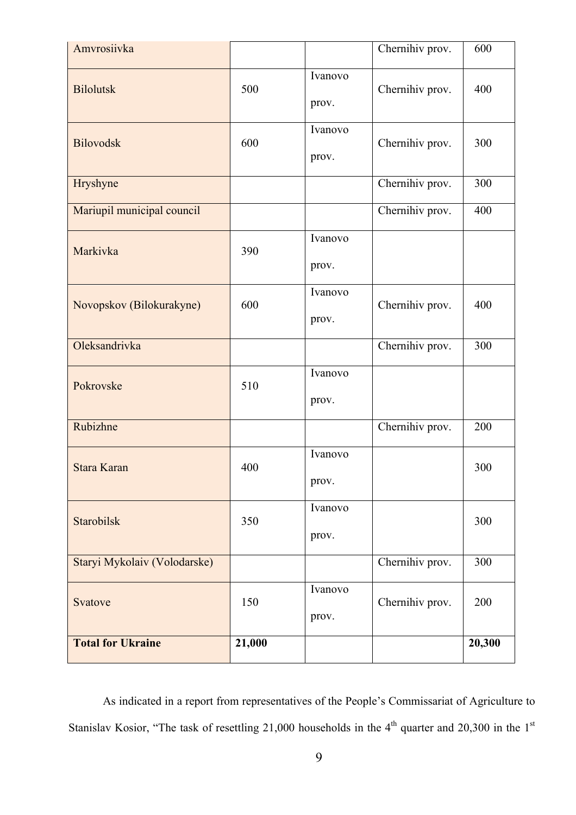| Amvrosiivka                  |        |                  | Chernihiv prov. | 600    |
|------------------------------|--------|------------------|-----------------|--------|
| <b>Bilolutsk</b>             | 500    | Ivanovo<br>prov. | Chernihiv prov. | 400    |
| <b>Bilovodsk</b>             | 600    | Ivanovo<br>prov. | Chernihiv prov. | 300    |
| Hryshyne                     |        |                  | Chernihiv prov. | 300    |
| Mariupil municipal council   |        |                  | Chernihiv prov. | 400    |
| Markivka                     | 390    | Ivanovo<br>prov. |                 |        |
| Novopskov (Bilokurakyne)     | 600    | Ivanovo<br>prov. | Chernihiv prov. | 400    |
| Oleksandrivka                |        |                  | Chernihiv prov. | 300    |
| Pokrovske                    | 510    | Ivanovo<br>prov. |                 |        |
| Rubizhne                     |        |                  | Chernihiv prov. | 200    |
| Stara Karan                  | 400    | Ivanovo<br>prov. |                 | 300    |
| Starobilsk                   | 350    | Ivanovo<br>prov. |                 | 300    |
| Staryi Mykolaiv (Volodarske) |        |                  | Chernihiv prov. | 300    |
| Svatove                      | 150    | Ivanovo<br>prov. | Chernihiv prov. | 200    |
| <b>Total for Ukraine</b>     | 21,000 |                  |                 | 20,300 |

As indicated in a report from representatives of the People's Commissariat of Agriculture to Stanislav Kosior, "The task of resettling 21,000 households in the  $4<sup>th</sup>$  quarter and 20,300 in the 1<sup>st</sup>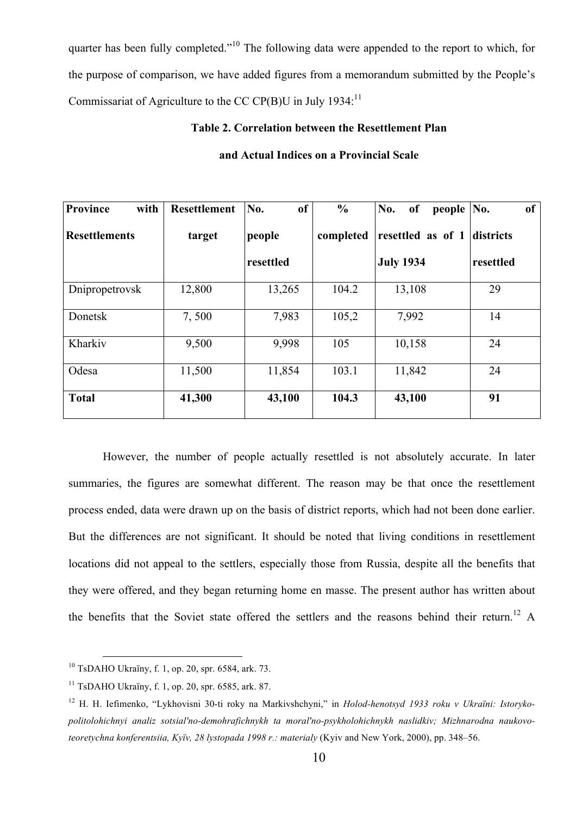quarter has been fully completed."<sup>10</sup> The following data were appended to the report to which, for the purpose of comparison, we have added figures from a memorandum submitted by the People's Commissariat of Agriculture to the CC CP(B)U in July 1934:<sup>11</sup>

### **Table 2. Correlation between the Resettlement Plan**

| <b>Province</b><br>with | <b>Resettlement</b> | of<br>No. | $\frac{6}{6}$ | No.<br>of<br>people | of<br>No. |
|-------------------------|---------------------|-----------|---------------|---------------------|-----------|
| <b>Resettlements</b>    | target              | people    | completed     | resettled as of 1   | districts |
|                         |                     | resettled |               | <b>July 1934</b>    | resettled |
| Dnipropetrovsk          | 12,800              | 13,265    | 104.2         | 13,108              | 29        |
| Donetsk                 | 7,500               | 7,983     | 105,2         | 7,992               | 14        |
| Kharkiv                 | 9,500               | 9,998     | 105           | 10,158              | 24        |
| Odesa                   | 11,500              | 11,854    | 103.1         | 11,842              | 24        |
| <b>Total</b>            | 41,300              | 43,100    | 104.3         | 43,100              | 91        |

### **and Actual Indices on a Provincial Scale**

However, the number of people actually resettled is not absolutely accurate. In later summaries, the figures are somewhat different. The reason may be that once the resettlement process ended, data were drawn up on the basis of district reports, which had not been done earlier. But the differences are not significant. It should be noted that living conditions in resettlement locations did not appeal to the settlers, especially those from Russia, despite all the benefits that they were offered, and they began returning home en masse. The present author has written about the benefits that the Soviet state offered the settlers and the reasons behind their return.<sup>12</sup> A

 <sup>10</sup> TsDAHO Ukraїny, f. 1, op. 20, spr. 6584, ark. 73.

 $11$  TsDAHO Ukraïny, f. 1, op. 20, spr. 6585, ark. 87.

<sup>12</sup> H. H. Iefimenko, "Lykhovisni 30-ti roky na Markivshchyni," in *Holod-henotsyd 1933 roku v Ukraїni: Istorykopolitolohichnyi analiz sotsial′no-demohrafichnykh ta moral′no-psykholohichnykh naslidkiv; Mizhnarodna naukovoteoretychna konferentsiia, Kyïv, 28 lystopada 1998 r.: materialy* (Kyiv and New York, 2000), pp. 348–56.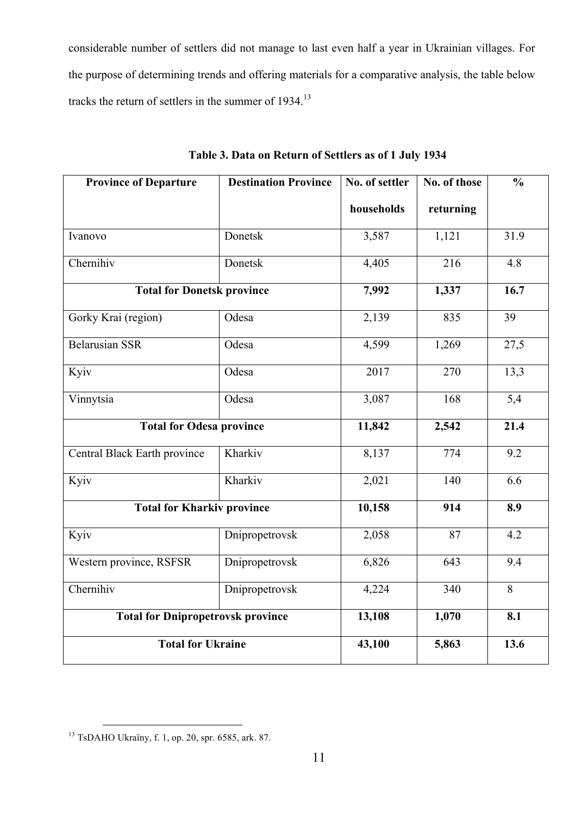considerable number of settlers did not manage to last even half a year in Ukrainian villages. For the purpose of determining trends and offering materials for a comparative analysis, the table below tracks the return of settlers in the summer of 1934.<sup>13</sup>

| <b>Province of Departure</b>             | <b>Destination Province</b> | No. of settler | No. of those | $\frac{0}{0}$     |
|------------------------------------------|-----------------------------|----------------|--------------|-------------------|
|                                          |                             | households     | returning    |                   |
| Ivanovo                                  | Donetsk                     | 3,587          | 1,121        | 31.9              |
| Chernihiv                                | Donetsk                     | 4,405          | 216          | 4.8               |
| <b>Total for Donetsk province</b>        |                             | 7,992          | 1,337        | $\overline{16.7}$ |
| Gorky Krai (region)                      | Odesa                       | 2,139          | 835          | 39                |
| <b>Belarusian SSR</b>                    | Odesa                       | 4,599          | 1,269        | 27,5              |
| Kyiv                                     | Odesa                       | 2017           | 270          | 13,3              |
| Vinnytsia                                | Odesa                       | 3,087          | 168          | $\overline{5,4}$  |
| <b>Total for Odesa province</b>          |                             | 11,842         | 2,542        | 21.4              |
| Central Black Earth province             | Kharkiv                     | 8,137          | 774          | 9.2               |
| Kyiv                                     | Kharkiv                     | 2,021          | 140          | 6.6               |
| <b>Total for Kharkiv province</b>        |                             | 10,158         | 914          | 8.9               |
| Kyiv                                     | Dnipropetrovsk              | 2,058          | 87           | 4.2               |
| Western province, RSFSR                  | Dnipropetrovsk              | 6,826          | 643          | 9.4               |
| Chernihiv                                | Dnipropetrovsk              | 4,224          | 340          | 8                 |
| <b>Total for Dnipropetrovsk province</b> |                             | 13,108         | 1,070        | 8.1               |
| <b>Total for Ukraine</b>                 |                             | 43,100         | 5,863        | 13.6              |

**Table 3. Data on Return of Settlers as of 1 July 1934**

 <sup>13</sup> TsDAHO Ukraїny, f. 1, op. 20, spr. 6585, ark. 87.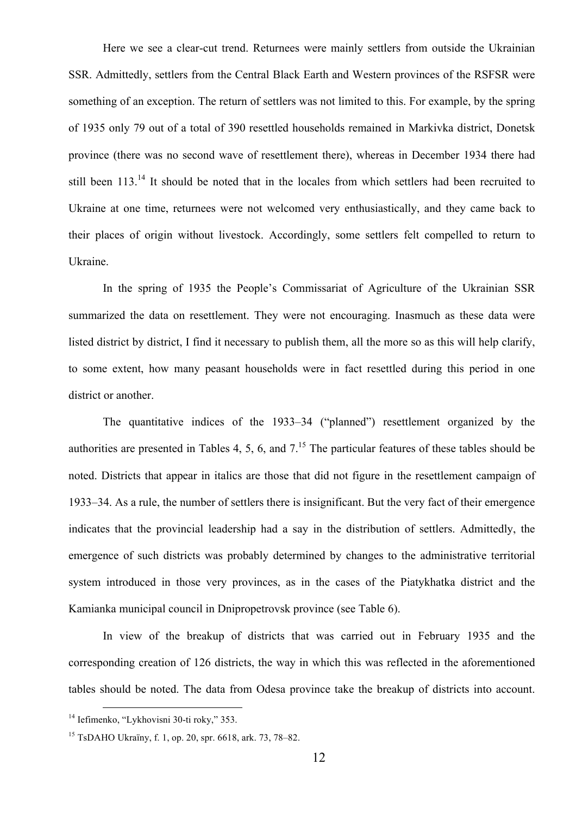Here we see a clear-cut trend. Returnees were mainly settlers from outside the Ukrainian SSR. Admittedly, settlers from the Central Black Earth and Western provinces of the RSFSR were something of an exception. The return of settlers was not limited to this. For example, by the spring of 1935 only 79 out of a total of 390 resettled households remained in Markivka district, Donetsk province (there was no second wave of resettlement there), whereas in December 1934 there had still been 113.<sup>14</sup> It should be noted that in the locales from which settlers had been recruited to Ukraine at one time, returnees were not welcomed very enthusiastically, and they came back to their places of origin without livestock. Accordingly, some settlers felt compelled to return to Ukraine.

In the spring of 1935 the People's Commissariat of Agriculture of the Ukrainian SSR summarized the data on resettlement. They were not encouraging. Inasmuch as these data were listed district by district, I find it necessary to publish them, all the more so as this will help clarify, to some extent, how many peasant households were in fact resettled during this period in one district or another.

The quantitative indices of the 1933–34 ("planned") resettlement organized by the authorities are presented in Tables 4, 5, 6, and  $7<sup>15</sup>$ . The particular features of these tables should be noted. Districts that appear in italics are those that did not figure in the resettlement campaign of 1933–34. As a rule, the number of settlers there is insignificant. But the very fact of their emergence indicates that the provincial leadership had a say in the distribution of settlers. Admittedly, the emergence of such districts was probably determined by changes to the administrative territorial system introduced in those very provinces, as in the cases of the Piatykhatka district and the Kamianka municipal council in Dnipropetrovsk province (see Table 6).

In view of the breakup of districts that was carried out in February 1935 and the corresponding creation of 126 districts, the way in which this was reflected in the aforementioned tables should be noted. The data from Odesa province take the breakup of districts into account.

<sup>&</sup>lt;sup>14</sup> Iefimenko, "Lykhovisni 30-ti roky," 353.

<sup>15</sup> TsDAHO Ukraїny, f. 1, op. 20, spr. 6618, ark. 73, 78–82.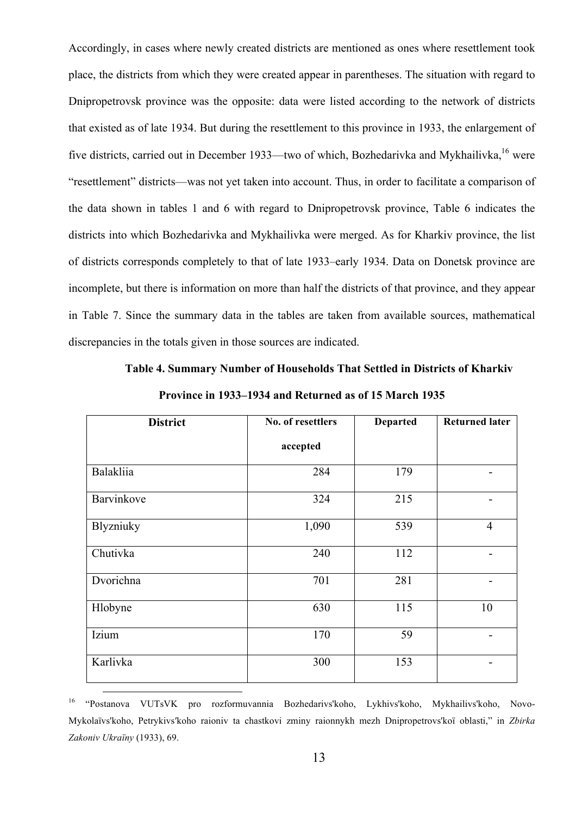Accordingly, in cases where newly created districts are mentioned as ones where resettlement took place, the districts from which they were created appear in parentheses. The situation with regard to Dnipropetrovsk province was the opposite: data were listed according to the network of districts that existed as of late 1934. But during the resettlement to this province in 1933, the enlargement of five districts, carried out in December 1933—two of which, Bozhedarivka and Mykhailivka,<sup>16</sup> were "resettlement" districts—was not yet taken into account. Thus, in order to facilitate a comparison of the data shown in tables 1 and 6 with regard to Dnipropetrovsk province, Table 6 indicates the districts into which Bozhedarivka and Mykhailivka were merged. As for Kharkiv province, the list of districts corresponds completely to that of late 1933–early 1934. Data on Donetsk province are incomplete, but there is information on more than half the districts of that province, and they appear in Table 7. Since the summary data in the tables are taken from available sources, mathematical discrepancies in the totals given in those sources are indicated.

**Table 4. Summary Number of Households That Settled in Districts of Kharkiv** 

| <b>District</b> | No. of resettlers | <b>Departed</b> | <b>Returned later</b> |
|-----------------|-------------------|-----------------|-----------------------|
|                 | accepted          |                 |                       |
| Balakliia       | 284               | 179             |                       |
| Barvinkove      | 324               | 215             |                       |
| Blyzniuky       | 1,090             | 539             | $\overline{4}$        |
| Chutivka        | 240               | 112             |                       |
| Dvorichna       | 701               | 281             |                       |
| Hlobyne         | 630               | 115             | 10                    |
| Izium           | 170               | 59              |                       |
| Karlivka        | 300               | 153             |                       |

**Province in 1933–1934 and Returned as of 15 March 1935**

 16 "Postanova VUTsVK pro rozformuvannia Bozhedarivs'koho, Lykhivs'koho, Mykhailivs'koho, Novo-Mykolaїvs'koho, Petrykivs′koho raioniv ta chastkovi zminy raionnykh mezh Dnipropetrovs'koї oblasti," in *Zbirka Zakoniv Ukraїny* (1933), 69.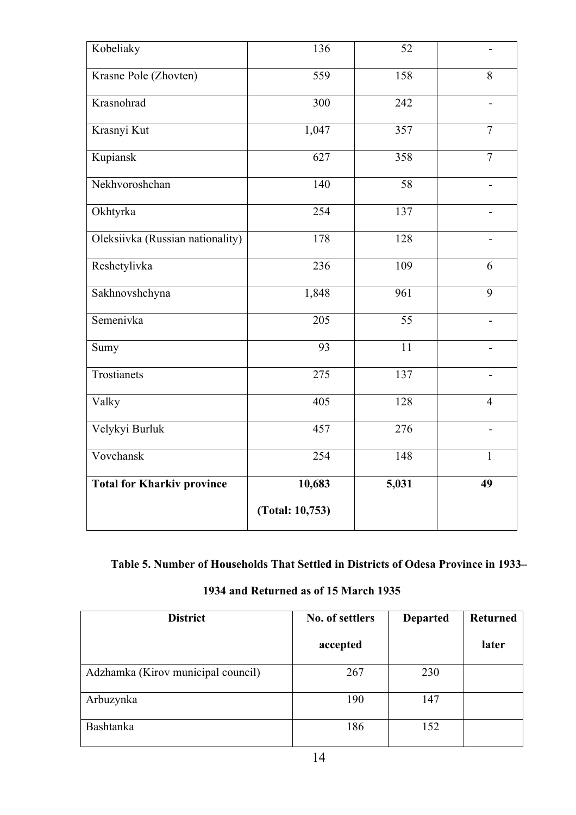| Kobeliaky                         | 136             | 52    | $\overline{a}$           |
|-----------------------------------|-----------------|-------|--------------------------|
| Krasne Pole (Zhovten)             | 559             | 158   | 8                        |
| Krasnohrad                        | 300             | 242   |                          |
| Krasnyi Kut                       | 1,047           | 357   | $\overline{7}$           |
| Kupiansk                          | 627             | 358   | $\tau$                   |
| Nekhvoroshchan                    | 140             | 58    | $\overline{\phantom{0}}$ |
| Okhtyrka                          | 254             | 137   | $\blacksquare$           |
| Oleksiivka (Russian nationality)  | 178             | 128   |                          |
| Reshetylivka                      | 236             | 109   | 6                        |
| Sakhnovshchyna                    | 1,848           | 961   | 9                        |
| Semenivka                         | 205             | 55    |                          |
| Sumy                              | 93              | 11    |                          |
| Trostianets                       | 275             | 137   |                          |
| Valky                             | 405             | 128   | $\overline{4}$           |
| Velykyi Burluk                    | 457             | 276   | -                        |
| Vovchansk                         | 254             | 148   | $\mathbf{1}$             |
| <b>Total for Kharkiv province</b> | 10,683          | 5,031 | 49                       |
|                                   | (Total: 10,753) |       |                          |

**Table 5. Number of Households That Settled in Districts of Odesa Province in 1933–**

| 1934 and Returned as of 15 March 1935 |  |  |
|---------------------------------------|--|--|
|                                       |  |  |

| <b>District</b>                    | No. of settlers | <b>Departed</b> | <b>Returned</b> |
|------------------------------------|-----------------|-----------------|-----------------|
|                                    | accepted        |                 | later           |
| Adzhamka (Kirov municipal council) | 267             | 230             |                 |
| Arbuzynka                          | 190             | 147             |                 |
| <b>Bashtanka</b>                   | 186             | 152             |                 |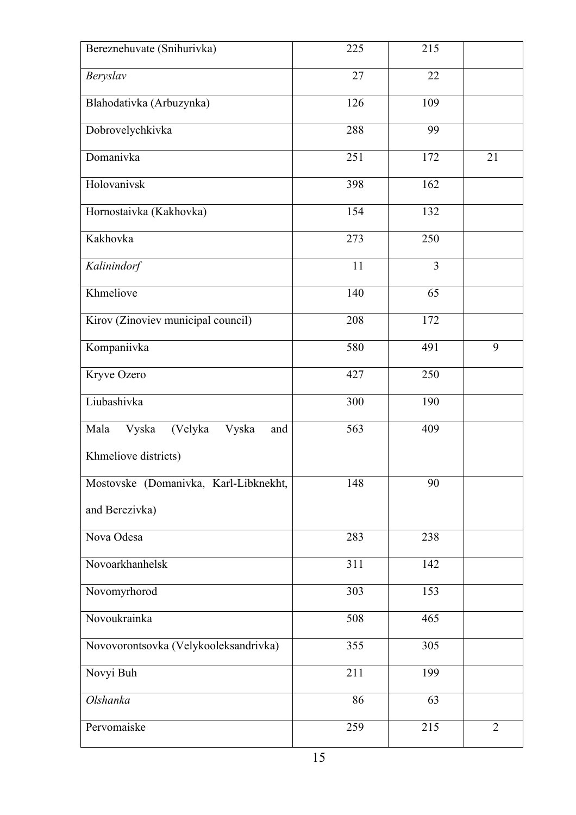| Bereznehuvate (Snihurivka)               | 225 | 215            |                |
|------------------------------------------|-----|----------------|----------------|
| Beryslav                                 | 27  | 22             |                |
| Blahodativka (Arbuzynka)                 | 126 | 109            |                |
| Dobrovelychkivka                         | 288 | 99             |                |
| Domanivka                                | 251 | 172            | 21             |
| Holovanivsk                              | 398 | 162            |                |
| Hornostaivka (Kakhovka)                  | 154 | 132            |                |
| Kakhovka                                 | 273 | 250            |                |
| Kalinindorf                              | 11  | $\overline{3}$ |                |
| Khmeliove                                | 140 | 65             |                |
| Kirov (Zinoviev municipal council)       | 208 | 172            |                |
| Kompaniivka                              | 580 | 491            | 9              |
| Kryve Ozero                              | 427 | 250            |                |
| Liubashivka                              | 300 | 190            |                |
| Mala<br>Vyska<br>(Velyka<br>Vyska<br>and | 563 | 409            |                |
| Khmeliove districts)                     |     |                |                |
| Mostovske (Domanivka, Karl-Libknekht,    | 148 | 90             |                |
| and Berezivka)                           |     |                |                |
| Nova Odesa                               | 283 | 238            |                |
| Novoarkhanhelsk                          | 311 | 142            |                |
| Novomyrhorod                             | 303 | 153            |                |
| Novoukrainka                             | 508 | 465            |                |
| Novovorontsovka (Velykooleksandrivka)    | 355 | 305            |                |
| Novyi Buh                                | 211 | 199            |                |
| Olshanka                                 | 86  | 63             |                |
| Pervomaiske                              | 259 | 215            | $\overline{2}$ |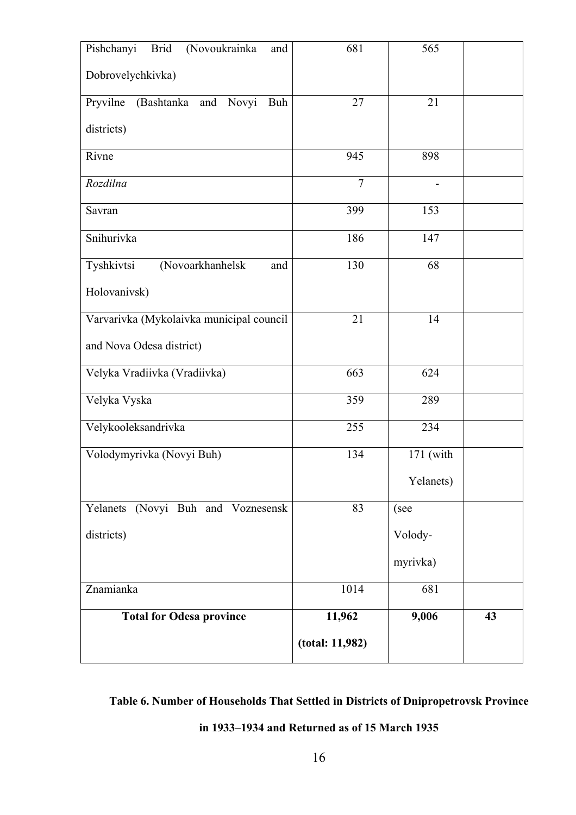| (Novoukrainka<br>Pishchanyi<br><b>Brid</b><br>and | 681             | 565       |    |
|---------------------------------------------------|-----------------|-----------|----|
| Dobrovelychkivka)                                 |                 |           |    |
| Pryvilne<br>(Bashtanka<br>Novyi<br>and<br>Buh     | 27              | 21        |    |
| districts)                                        |                 |           |    |
| Rivne                                             | 945             | 898       |    |
| Rozdilna                                          | $\overline{7}$  |           |    |
| Savran                                            | 399             | 153       |    |
| Snihurivka                                        | 186             | 147       |    |
| Tyshkivtsi<br>(Novoarkhanhelsk<br>and             | 130             | 68        |    |
| Holovanivsk)                                      |                 |           |    |
| Varvarivka (Mykolaivka municipal council          | 21              | 14        |    |
| and Nova Odesa district)                          |                 |           |    |
| Velyka Vradiivka (Vradiivka)                      | 663             | 624       |    |
| Velyka Vyska                                      | 359             | 289       |    |
| Velykooleksandrivka                               | 255             | 234       |    |
| Volodymyrivka (Novyi Buh)                         | 134             | 171 (with |    |
|                                                   |                 | Yelanets) |    |
| Yelanets (Novyi Buh and Voznesensk                | 83              | (see      |    |
| districts)                                        |                 | Volody-   |    |
|                                                   |                 | myrivka)  |    |
| Znamianka                                         | 1014            | 681       |    |
| <b>Total for Odesa province</b>                   | 11,962          | 9,006     | 43 |
|                                                   | (total: 11,982) |           |    |

### **Table 6. Number of Households That Settled in Districts of Dnipropetrovsk Province**

**in 1933–1934 and Returned as of 15 March 1935**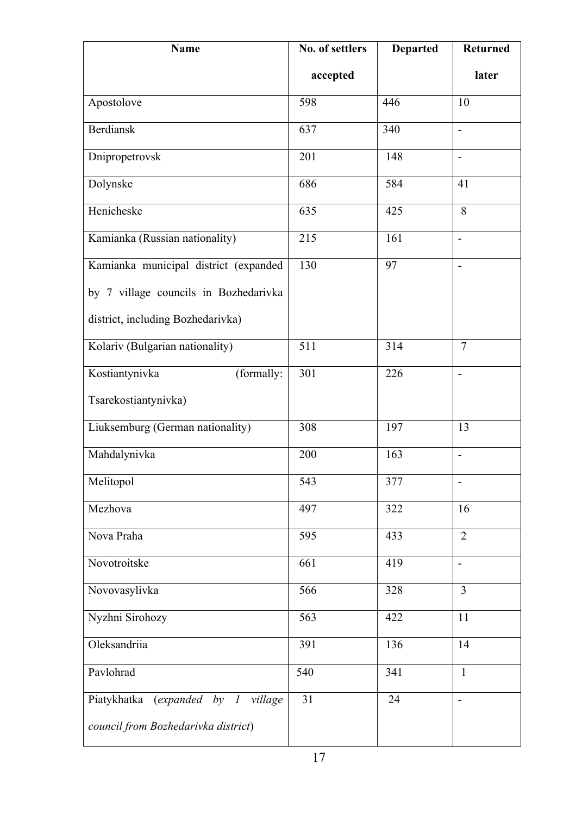| <b>Name</b>                              | No. of settlers | <b>Departed</b> | <b>Returned</b>          |
|------------------------------------------|-----------------|-----------------|--------------------------|
|                                          | accepted        |                 | later                    |
| Apostolove                               | 598             | 446             | 10                       |
| <b>Berdiansk</b>                         | 637             | 340             | $\overline{\phantom{a}}$ |
| Dnipropetrovsk                           | 201             | 148             | $\blacksquare$           |
| Dolynske                                 | 686             | 584             | 41                       |
| Henicheske                               | 635             | 425             | 8                        |
| Kamianka (Russian nationality)           | 215             | 161             | $\overline{a}$           |
| Kamianka municipal district (expanded    | 130             | 97              | $\overline{a}$           |
| by 7 village councils in Bozhedarivka    |                 |                 |                          |
| district, including Bozhedarivka)        |                 |                 |                          |
| Kolariv (Bulgarian nationality)          | 511             | 314             | $\overline{7}$           |
| Kostiantynivka<br>(formally:             | 301             | 226             | $\blacksquare$           |
| Tsarekostiantynivka)                     |                 |                 |                          |
| Liuksemburg (German nationality)         | 308             | 197             | 13                       |
| Mahdalynivka                             | 200             | 163             | $\overline{\phantom{0}}$ |
| Melitopol                                | 543             | 377             | $\overline{\phantom{a}}$ |
| Mezhova                                  | 497             | 322             | 16                       |
| Nova Praha                               | 595             | 433             | $\overline{2}$           |
| Novotroitske                             | 661             | 419             | $\overline{\phantom{a}}$ |
| Novovasylivka                            | 566             | 328             | $\overline{3}$           |
| Nyzhni Sirohozy                          | 563             | 422             | 11                       |
| Oleksandriia                             | 391             | 136             | 14                       |
| Pavlohrad                                | 540             | 341             | $\mathbf{1}$             |
| Piatykhatka<br>(expanded by 1<br>village | 31              | 24              | $\overline{\phantom{a}}$ |
| council from Bozhedarivka district)      |                 |                 |                          |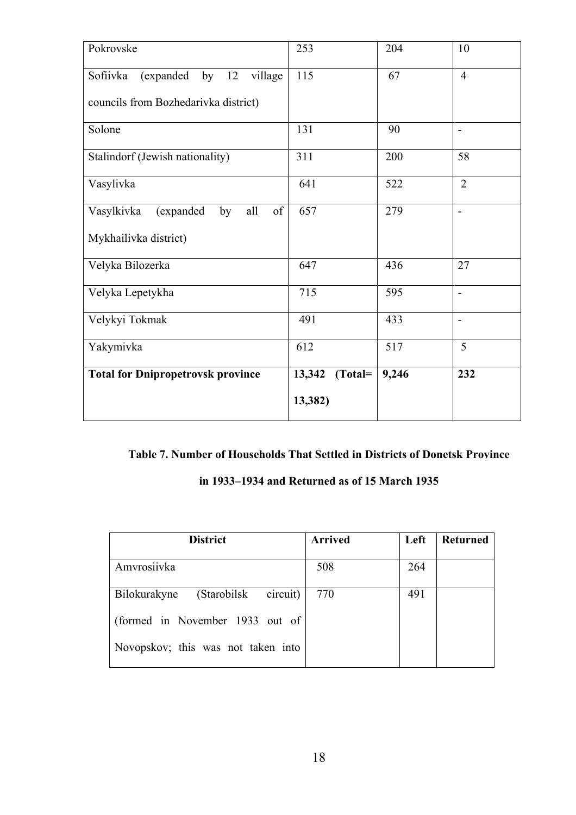| Pokrovske                                                   | 253                  | 204   | 10                       |
|-------------------------------------------------------------|----------------------|-------|--------------------------|
| Sofiivka<br>by $12$<br>village<br>(expanded                 | 115                  | 67    | $\overline{4}$           |
| councils from Bozhedarivka district)                        |                      |       |                          |
| Solone                                                      | 131                  | 90    | $\overline{\phantom{a}}$ |
| Stalindorf (Jewish nationality)                             | 311                  | 200   | 58                       |
| Vasylivka                                                   | 641                  | 522   | $\overline{2}$           |
| Vasylkivka<br>$% \overline{a}$ of<br>all<br>(expanded<br>by | 657                  | 279   | $\overline{\phantom{0}}$ |
| Mykhailivka district)                                       |                      |       |                          |
| Velyka Bilozerka                                            | 647                  | 436   | 27                       |
| Velyka Lepetykha                                            | 715                  | 595   | $\overline{\phantom{a}}$ |
| Velykyi Tokmak                                              | 491                  | 433   | $\overline{a}$           |
| Yakymivka                                                   | 612                  | 517   | 5                        |
| <b>Total for Dnipropetrovsk province</b>                    | 13,342<br>$(Total =$ | 9,246 | 232                      |
|                                                             | 13,382)              |       |                          |

### **Table 7. Number of Households That Settled in Districts of Donetsk Province**

|  |  | in 1933–1934 and Returned as of 15 March 1935 |  |  |  |  |
|--|--|-----------------------------------------------|--|--|--|--|
|--|--|-----------------------------------------------|--|--|--|--|

| <b>District</b>                          | <b>Arrived</b> | Left | <b>Returned</b> |
|------------------------------------------|----------------|------|-----------------|
|                                          |                |      |                 |
| Amvrosiivka                              | 508            | 264  |                 |
| circuit)<br>(Starobilsk)<br>Bilokurakyne | 770            | 491  |                 |
| (formed in November 1933 out of          |                |      |                 |
| Novopskov; this was not taken into       |                |      |                 |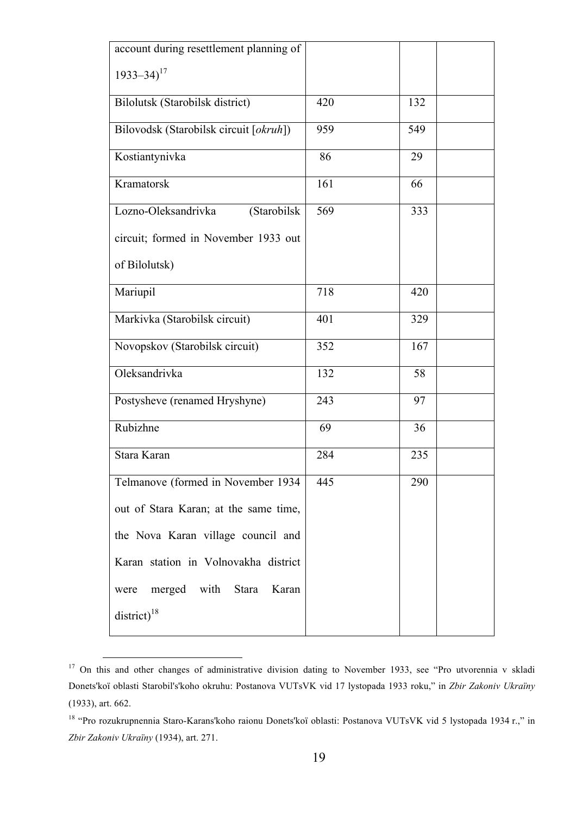| account during resettlement planning of |     |     |  |
|-----------------------------------------|-----|-----|--|
| $1933 - 34$ <sup>17</sup>               |     |     |  |
| Bilolutsk (Starobilsk district)         | 420 | 132 |  |
| Bilovodsk (Starobilsk circuit [okruh])  | 959 | 549 |  |
| Kostiantynivka                          | 86  | 29  |  |
| Kramatorsk                              | 161 | 66  |  |
| Lozno-Oleksandrivka<br>(Starobilsk      | 569 | 333 |  |
| circuit; formed in November 1933 out    |     |     |  |
| of Bilolutsk)                           |     |     |  |
| Mariupil                                | 718 | 420 |  |
| Markivka (Starobilsk circuit)           | 401 | 329 |  |
| Novopskov (Starobilsk circuit)          | 352 | 167 |  |
| Oleksandrivka                           | 132 | 58  |  |
| Postysheve (renamed Hryshyne)           | 243 | 97  |  |
| Rubizhne                                | 69  | 36  |  |
| Stara Karan                             | 284 | 235 |  |
| Telmanove (formed in November 1934      | 445 | 290 |  |
| out of Stara Karan; at the same time,   |     |     |  |
| the Nova Karan village council and      |     |     |  |
| Karan station in Volnovakha district    |     |     |  |
| merged with Stara<br>Karan<br>were      |     |     |  |
| $district)^{18}$                        |     |     |  |

<sup>&</sup>lt;sup>17</sup> On this and other changes of administrative division dating to November 1933, see "Pro utvorennia v skladi Donets'koї oblasti Starobil's'koho okruhu: Postanova VUTsVK vid 17 lystopada 1933 roku," in *Zbir Zakoniv Ukraїny* (1933), art. 662.

<sup>18</sup> "Pro rozukrupnennia Staro-Karans'koho raionu Donets'koї oblasti: Postanova VUTsVK vid 5 lystopada 1934 r.," in *Zbir Zakoniv Ukraїny* (1934), art. 271.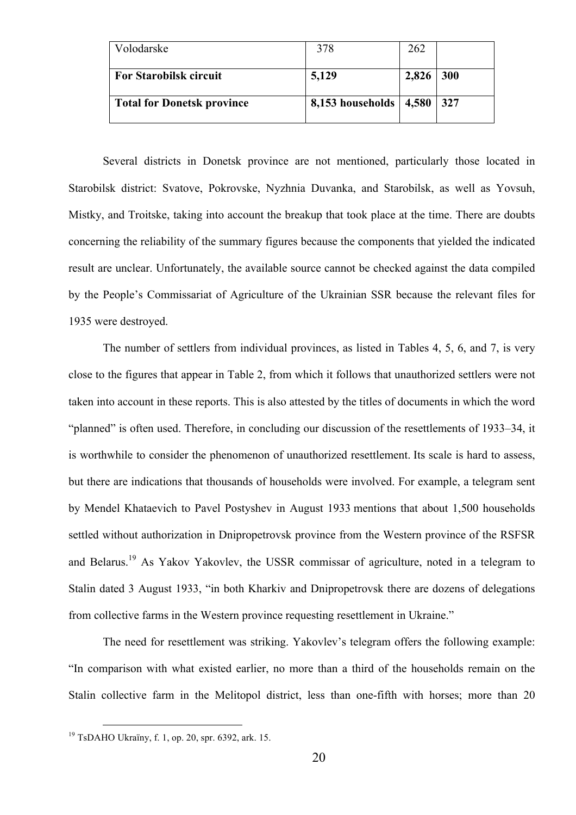| Volodarske                        | 378                      | 262   |            |
|-----------------------------------|--------------------------|-------|------------|
| <b>For Starobilsk circuit</b>     | 5,129                    | 2,826 | <b>300</b> |
| <b>Total for Donetsk province</b> | 8,153 households   4,580 |       | 327        |

Several districts in Donetsk province are not mentioned, particularly those located in Starobilsk district: Svatove, Pokrovske, Nyzhnia Duvanka, and Starobilsk, as well as Yovsuh, Mistky, and Troitske, taking into account the breakup that took place at the time. There are doubts concerning the reliability of the summary figures because the components that yielded the indicated result are unclear. Unfortunately, the available source cannot be checked against the data compiled by the People's Commissariat of Agriculture of the Ukrainian SSR because the relevant files for 1935 were destroyed.

The number of settlers from individual provinces, as listed in Tables 4, 5, 6, and 7, is very close to the figures that appear in Table 2, from which it follows that unauthorized settlers were not taken into account in these reports. This is also attested by the titles of documents in which the word "planned" is often used. Therefore, in concluding our discussion of the resettlements of 1933–34, it is worthwhile to consider the phenomenon of unauthorized resettlement. Its scale is hard to assess, but there are indications that thousands of households were involved. For example, a telegram sent by Mendel Khataevich to Pavel Postyshev in August 1933 mentions that about 1,500 households settled without authorization in Dnipropetrovsk province from the Western province of the RSFSR and Belarus.<sup>19</sup> As Yakov Yakovlev, the USSR commissar of agriculture, noted in a telegram to Stalin dated 3 August 1933, "in both Kharkiv and Dnipropetrovsk there are dozens of delegations from collective farms in the Western province requesting resettlement in Ukraine."

The need for resettlement was striking. Yakovlev's telegram offers the following example: "In comparison with what existed earlier, no more than a third of the households remain on the Stalin collective farm in the Melitopol district, less than one-fifth with horses; more than 20

 <sup>19</sup> TsDAHO Ukraїny, f. 1, op. 20, spr. 6392, ark. 15.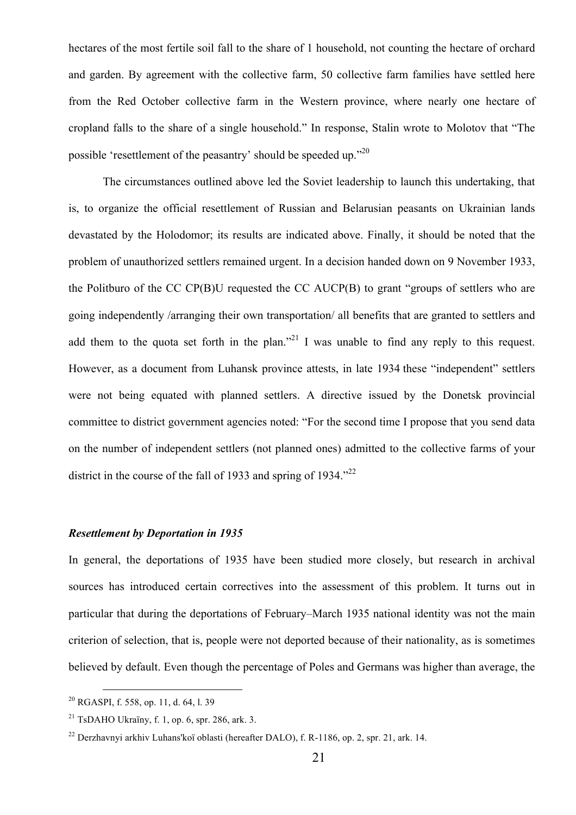hectares of the most fertile soil fall to the share of 1 household, not counting the hectare of orchard and garden. By agreement with the collective farm, 50 collective farm families have settled here from the Red October collective farm in the Western province, where nearly one hectare of cropland falls to the share of a single household." In response, Stalin wrote to Molotov that "The possible 'resettlement of the peasantry' should be speeded up."<sup>20</sup>

The circumstances outlined above led the Soviet leadership to launch this undertaking, that is, to organize the official resettlement of Russian and Belarusian peasants on Ukrainian lands devastated by the Holodomor; its results are indicated above. Finally, it should be noted that the problem of unauthorized settlers remained urgent. In a decision handed down on 9 November 1933, the Politburo of the CC CP(B)U requested the CC AUCP(B) to grant "groups of settlers who are going independently /arranging their own transportation/ all benefits that are granted to settlers and add them to the quota set forth in the plan."<sup>21</sup> I was unable to find any reply to this request. However, as a document from Luhansk province attests, in late 1934 these "independent" settlers were not being equated with planned settlers. A directive issued by the Donetsk provincial committee to district government agencies noted: "For the second time I propose that you send data on the number of independent settlers (not planned ones) admitted to the collective farms of your district in the course of the fall of 1933 and spring of 1934.<sup> $22$ </sup>

#### *Resettlement by Deportation in 1935*

In general, the deportations of 1935 have been studied more closely, but research in archival sources has introduced certain correctives into the assessment of this problem. It turns out in particular that during the deportations of February–March 1935 national identity was not the main criterion of selection, that is, people were not deported because of their nationality, as is sometimes believed by default. Even though the percentage of Poles and Germans was higher than average, the

 <sup>20</sup> RGASPI, f. 558, op. 11, d. 64, l. 39

<sup>&</sup>lt;sup>21</sup> TsDAHO Ukraïny, f. 1, op. 6, spr. 286, ark. 3.

<sup>22</sup> Derzhavnyi arkhiv Luhans'koï oblasti (hereafter DALO), f. R-1186, оp. 2, spr. 21, ark. 14.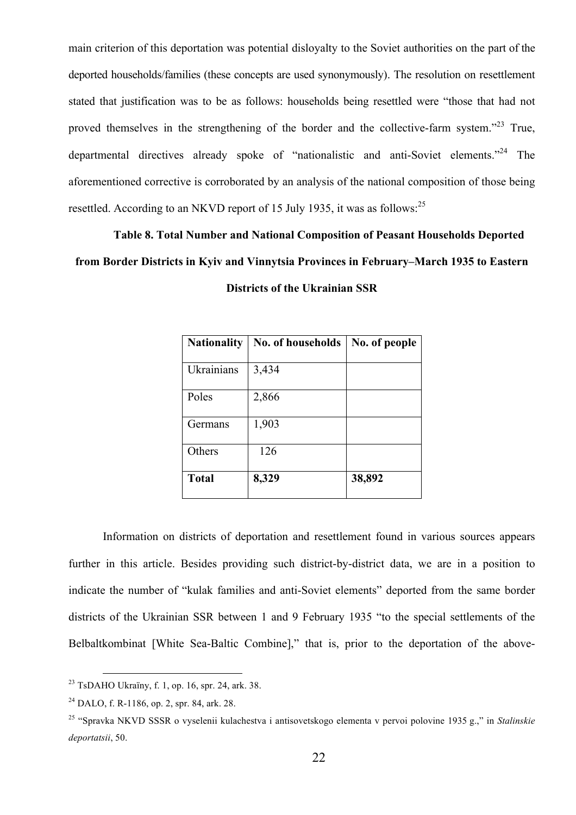main criterion of this deportation was potential disloyalty to the Soviet authorities on the part of the deported households/families (these concepts are used synonymously). The resolution on resettlement stated that justification was to be as follows: households being resettled were "those that had not proved themselves in the strengthening of the border and the collective-farm system.<sup>223</sup> True, departmental directives already spoke of "nationalistic and anti-Soviet elements."<sup>24</sup> The aforementioned corrective is corroborated by an analysis of the national composition of those being resettled. According to an NKVD report of 15 July 1935, it was as follows:<sup>25</sup>

# **Table 8. Total Number and National Composition of Peasant Households Deported from Border Districts in Kyiv and Vinnytsia Provinces in February–March 1935 to Eastern Districts of the Ukrainian SSR**

| <b>Nationality</b> | No. of households | No. of people |
|--------------------|-------------------|---------------|
| Ukrainians         | 3,434             |               |
| Poles              | 2,866             |               |
| Germans            | 1,903             |               |
| Others             | 126               |               |
| <b>Total</b>       | 8,329             | 38,892        |

Information on districts of deportation and resettlement found in various sources appears further in this article. Besides providing such district-by-district data, we are in a position to indicate the number of "kulak families and anti-Soviet elements" deported from the same border districts of the Ukrainian SSR between 1 and 9 February 1935 "to the special settlements of the Belbaltkombinat [White Sea-Baltic Combine]," that is, prior to the deportation of the above-

 <sup>23</sup> TsDAHO Ukraїny, f. 1, op. 16, spr. 24, ark. 38.

<sup>24</sup> DALO, f. R-1186, op. 2, spr. 84, ark. 28.

<sup>25</sup> "Spravka NKVD SSSR o vyselenii kulachestva i antisovetskogo elementa v pervoi polovine 1935 g.," in *Stalinskie deportatsii*, 50.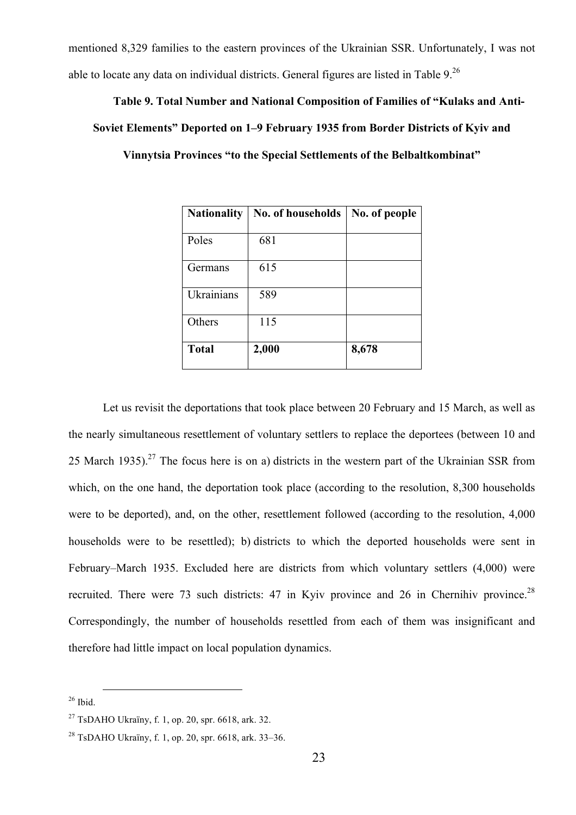mentioned 8,329 families to the eastern provinces of the Ukrainian SSR. Unfortunately, I was not able to locate any data on individual districts. General figures are listed in Table 9.26

# **Table 9. Total Number and National Composition of Families of "Kulaks and Anti-Soviet Elements" Deported on 1–9 February 1935 from Border Districts of Kyiv and Vinnytsia Provinces "to the Special Settlements of the Belbaltkombinat"**

| <b>Nationality</b> | No. of households | No. of people |
|--------------------|-------------------|---------------|
| Poles              | 681               |               |
| Germans            | 615               |               |
| Ukrainians         | 589               |               |
| Others             | 115               |               |
| <b>Total</b>       | 2,000             | 8,678         |

Let us revisit the deportations that took place between 20 February and 15 March, as well as the nearly simultaneous resettlement of voluntary settlers to replace the deportees (between 10 and 25 March 1935).<sup>27</sup> The focus here is on a) districts in the western part of the Ukrainian SSR from which, on the one hand, the deportation took place (according to the resolution, 8,300 households were to be deported), and, on the other, resettlement followed (according to the resolution, 4,000 households were to be resettled); b) districts to which the deported households were sent in February–March 1935. Excluded here are districts from which voluntary settlers (4,000) were recruited. There were 73 such districts: 47 in Kyiv province and 26 in Chernihiv province.<sup>28</sup> Correspondingly, the number of households resettled from each of them was insignificant and therefore had little impact on local population dynamics.

 $26$  Ibid.

<sup>&</sup>lt;sup>27</sup> TsDAHO Ukraïny, f. 1, op. 20, spr. 6618, ark. 32.

<sup>28</sup> TsDAHO Ukraїny, f. 1, op. 20, spr. 6618, ark. 33–36.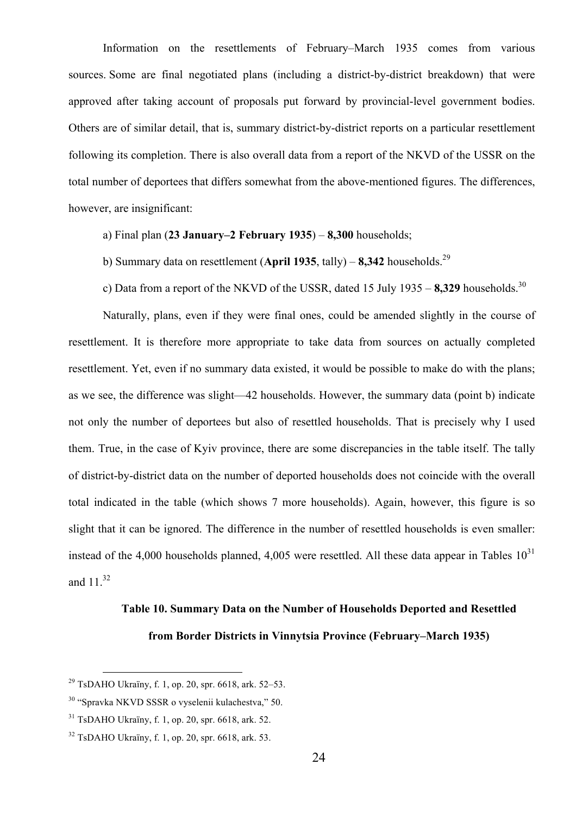Information on the resettlements of February–March 1935 comes from various sources. Some are final negotiated plans (including a district-by-district breakdown) that were approved after taking account of proposals put forward by provincial-level government bodies. Others are of similar detail, that is, summary district-by-district reports on a particular resettlement following its completion. There is also overall data from a report of the NKVD of the USSR on the total number of deportees that differs somewhat from the above-mentioned figures. The differences, however, are insignificant:

а) Final plan (**23 January–2 February 1935**) – **8,300** households;

b) Summary data on resettlement (**April 1935**, tally) – **8,342** households. 29

c) Data from a report of the NKVD of the USSR, dated 15 July 1935 – 8,329 households.<sup>30</sup>

Naturally, plans, even if they were final ones, could be amended slightly in the course of resettlement. It is therefore more appropriate to take data from sources on actually completed resettlement. Yet, even if no summary data existed, it would be possible to make do with the plans; as we see, the difference was slight—42 households. However, the summary data (point b) indicate not only the number of deportees but also of resettled households. That is precisely why I used them. True, in the case of Kyiv province, there are some discrepancies in the table itself. The tally of district-by-district data on the number of deported households does not coincide with the overall total indicated in the table (which shows 7 more households). Again, however, this figure is so slight that it can be ignored. The difference in the number of resettled households is even smaller: instead of the 4,000 households planned, 4,005 were resettled. All these data appear in Tables  $10^{31}$ and  $11^{32}$ 

# **Table 10. Summary Data on the Number of Households Deported and Resettled from Border Districts in Vinnytsia Province (February–March 1935)**

<sup>&</sup>lt;sup>29</sup> TsDAHO Ukraïny, f. 1, op. 20, spr. 6618, ark. 52–53.

<sup>30</sup> "Spravka NKVD SSSR o vyselenii kulachestva," 50.

 $31$  TsDAHO Ukraïny, f. 1, op. 20, spr. 6618, ark. 52.

 $32$  TsDAHO Ukraïny, f. 1, op. 20, spr. 6618, ark. 53.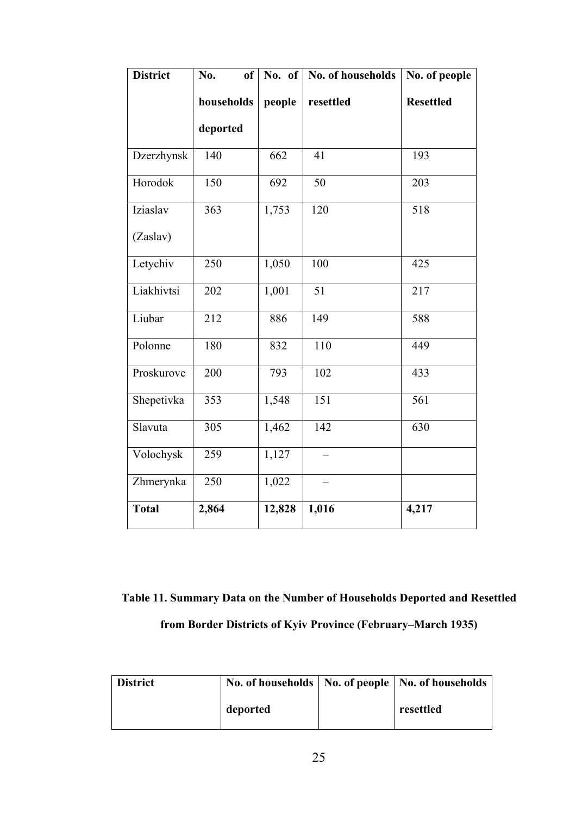| <b>District</b> | No.<br><sub>of</sub> | No. of | No. of households | No. of people    |
|-----------------|----------------------|--------|-------------------|------------------|
|                 | households           | people | resettled         | <b>Resettled</b> |
|                 | deported             |        |                   |                  |
| Dzerzhynsk      | 140                  | 662    | 41                | 193              |
| Horodok         | 150                  | 692    | 50                | 203              |
| Iziaslav        | 363                  | 1,753  | 120               | 518              |
| (Zaslav)        |                      |        |                   |                  |
| Letychiv        | 250                  | 1,050  | 100               | 425              |
| Liakhivtsi      | 202                  | 1,001  | 51                | 217              |
| Liubar          | 212                  | 886    | 149               | 588              |
| Polonne         | 180                  | 832    | 110               | 449              |
| Proskurove      | 200                  | 793    | 102               | 433              |
| Shepetivka      | 353                  | 1,548  | $\overline{151}$  | 561              |
| Slavuta         | 305                  | 1,462  | 142               | 630              |
| Volochysk       | 259                  | 1,127  |                   |                  |
| Zhmerynka       | 250                  | 1,022  |                   |                  |
| <b>Total</b>    | 2,864                | 12,828 | 1,016             | 4,217            |

**Table 11. Summary Data on the Number of Households Deported and Resettled from Border Districts of Kyiv Province (February–March 1935)**

| <b>District</b> |          | No. of households   No. of people   No. of households |
|-----------------|----------|-------------------------------------------------------|
|                 | deported | resettled                                             |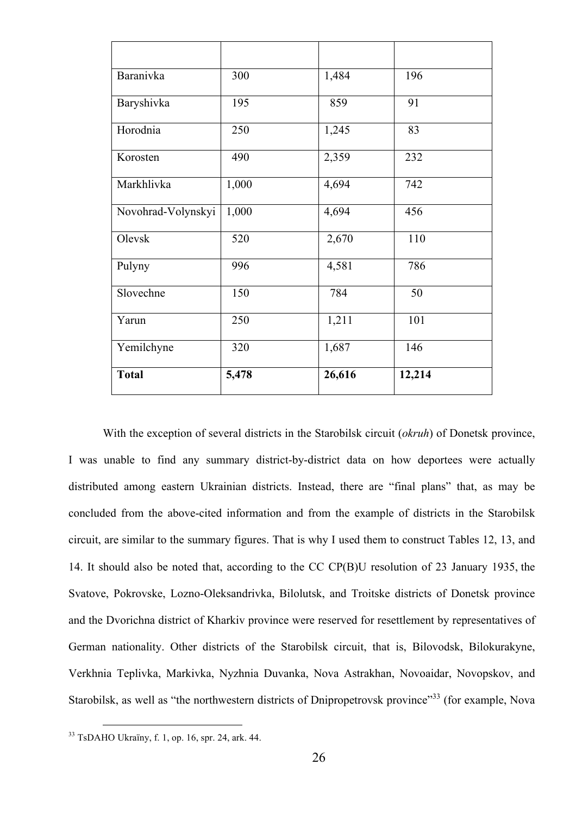| <b>Baranivka</b>   | 300   | 1,484  | 196    |
|--------------------|-------|--------|--------|
| Baryshivka         | 195   | 859    | 91     |
| Horodnia           | 250   | 1,245  | 83     |
| Korosten           | 490   | 2,359  | 232    |
| Markhlivka         | 1,000 | 4,694  | 742    |
| Novohrad-Volynskyi | 1,000 | 4,694  | 456    |
| Olevsk             | 520   | 2,670  | 110    |
| Pulyny             | 996   | 4,581  | 786    |
| Slovechne          | 150   | 784    | 50     |
| Yarun              | 250   | 1,211  | 101    |
| Yemilchyne         | 320   | 1,687  | 146    |
| <b>Total</b>       | 5,478 | 26,616 | 12,214 |

With the exception of several districts in the Starobilsk circuit (*okruh*) of Donetsk province, I was unable to find any summary district-by-district data on how deportees were actually distributed among eastern Ukrainian districts. Instead, there are "final plans" that, as may be concluded from the above-cited information and from the example of districts in the Starobilsk circuit, are similar to the summary figures. That is why I used them to construct Tables 12, 13, and 14. It should also be noted that, according to the CC CP(B)U resolution of 23 January 1935, the Svatove, Pokrovske, Lozno-Oleksandrivka, Bilolutsk, and Troitske districts of Donetsk province and the Dvorichna district of Kharkiv province were reserved for resettlement by representatives of German nationality. Other districts of the Starobilsk circuit, that is, Bilovodsk, Bilokurakyne, Verkhnia Teplivka, Markivka, Nyzhnia Duvanka, Nova Astrakhan, Novoaidar, Novopskov, and Starobilsk, as well as "the northwestern districts of Dnipropetrovsk province"<sup>33</sup> (for example, Nova

 <sup>33</sup> TsDAHO Ukraїny, f. 1, op. 16, spr. 24, ark. 44.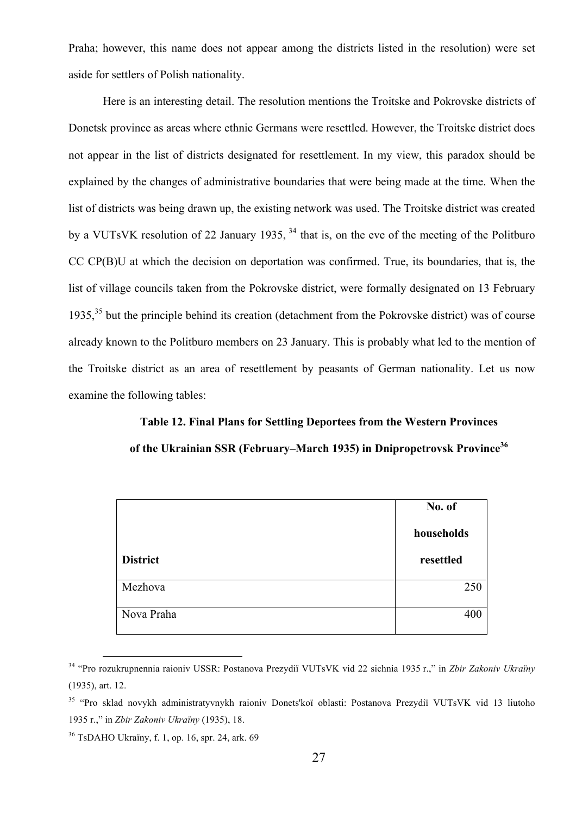Praha; however, this name does not appear among the districts listed in the resolution) were set aside for settlers of Polish nationality.

Here is an interesting detail. The resolution mentions the Troitske and Pokrovske districts of Donetsk province as areas where ethnic Germans were resettled. However, the Troitske district does not appear in the list of districts designated for resettlement. In my view, this paradox should be explained by the changes of administrative boundaries that were being made at the time. When the list of districts was being drawn up, the existing network was used. The Troitske district was created by a VUTsVK resolution of 22 January 1935, <sup>34</sup> that is, on the eve of the meeting of the Politburo CC CP(B)U at which the decision on deportation was confirmed. True, its boundaries, that is, the list of village councils taken from the Pokrovske district, were formally designated on 13 February 1935, <sup>35</sup> but the principle behind its creation (detachment from the Pokrovske district) was of course already known to the Politburo members on 23 January. This is probably what led to the mention of the Troitske district as an area of resettlement by peasants of German nationality. Let us now examine the following tables:

# **Table 12. Final Plans for Settling Deportees from the Western Provinces** of the Ukrainian SSR (February–March 1935) in Dnipropetrovsk Province<sup>36</sup>

|                 | No. of     |
|-----------------|------------|
|                 | households |
| <b>District</b> | resettled  |
| Mezhova         | 250        |
| Nova Praha      | 400        |

 <sup>34</sup> "Pro rozukrupnennia raioniv USSR: Postanova Prezydi<sup>ї</sup> VUTsVK vid 22 sichnia 1935 r.," in *Zbir Zakoniv Ukraїny* (1935), art. 12.

<sup>35</sup> "Pro sklad novykh administratyvnykh raioniv Donets'koї oblasti: Postanova Prezydiї VUTsVK vid 13 liutoho 1935 r.," in *Zbir Zakoniv Ukraїny* (1935), 18.

<sup>36</sup> TsDAHO Ukraїny, f. 1, op. 16, spr. 24, ark. 69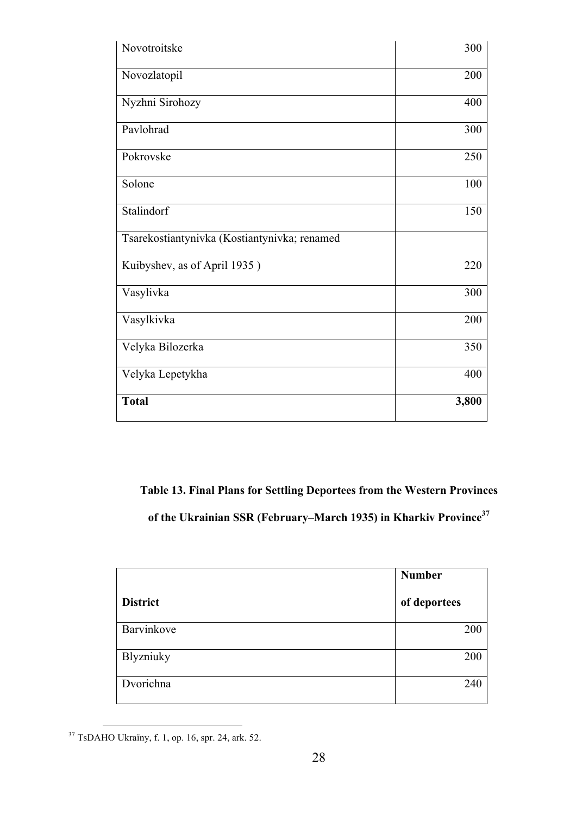| Novotroitske                                 | 300   |
|----------------------------------------------|-------|
| Novozlatopil                                 | 200   |
| Nyzhni Sirohozy                              | 400   |
| Pavlohrad                                    | 300   |
| Pokrovske                                    | 250   |
| Solone                                       | 100   |
| Stalindorf                                   | 150   |
| Tsarekostiantynivka (Kostiantynivka; renamed |       |
| Kuibyshev, as of April 1935)                 | 220   |
| Vasylivka                                    | 300   |
| Vasylkivka                                   | 200   |
| Velyka Bilozerka                             | 350   |
| Velyka Lepetykha                             | 400   |
| <b>Total</b>                                 | 3,800 |

**Table 13. Final Plans for Settling Deportees from the Western Provinces of the Ukrainian SSR (February–March 1935) in Kharkiv Province<sup>37</sup>**

|                 | <b>Number</b> |
|-----------------|---------------|
| <b>District</b> | of deportees  |
| Barvinkove      | 200           |
| Blyzniuky       | 200           |
| Dvorichna       | 240           |

 <sup>37</sup> TsDAHO Ukraїny, f. 1, op. 16, spr. 24, ark. 52.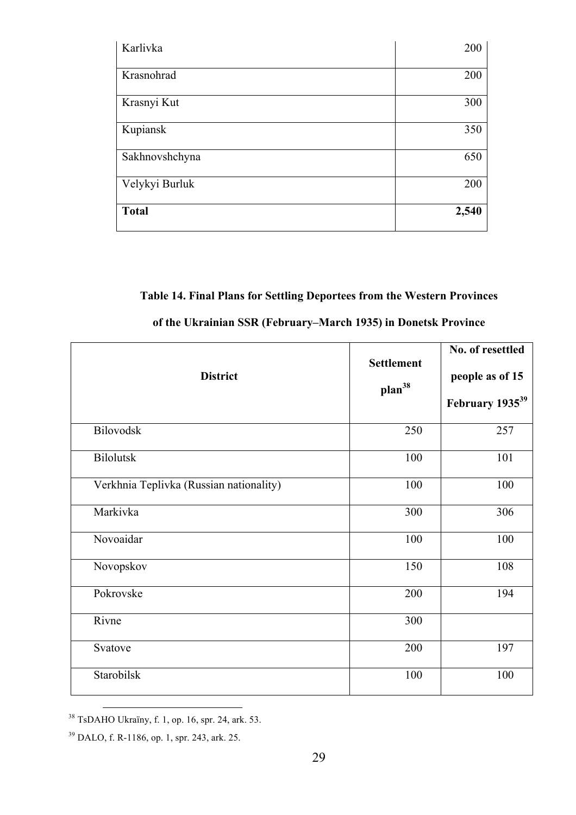| Karlivka       | 200   |
|----------------|-------|
| Krasnohrad     | 200   |
| Krasnyi Kut    | 300   |
| Kupiansk       | 350   |
| Sakhnovshchyna | 650   |
| Velykyi Burluk | 200   |
| <b>Total</b>   | 2,540 |

## **Table 14. Final Plans for Settling Deportees from the Western Provinces**

| <b>District</b>                         | <b>Settlement</b><br>plan <sup>38</sup> | No. of resettled<br>people as of 15<br>February 1935 <sup>39</sup> |
|-----------------------------------------|-----------------------------------------|--------------------------------------------------------------------|
| Bilovodsk                               | 250                                     | 257                                                                |
| <b>Bilolutsk</b>                        | 100                                     | 101                                                                |
| Verkhnia Teplivka (Russian nationality) | 100                                     | 100                                                                |
| Markivka                                | 300                                     | 306                                                                |
| Novoaidar                               | 100                                     | 100                                                                |
| Novopskov                               | 150                                     | 108                                                                |
| Pokrovske                               | 200                                     | 194                                                                |
| Rivne                                   | 300                                     |                                                                    |
| Svatove                                 | 200                                     | 197                                                                |
| Starobilsk                              | 100                                     | 100                                                                |

### **of the Ukrainian SSR (February–March 1935) in Donetsk Province**

 <sup>38</sup> TsDAHO Ukraїny, f. 1, op. 16, spr. 24, ark. 53.

<sup>39</sup> DALO, f. R-1186, op. 1, spr. 243, ark. 25.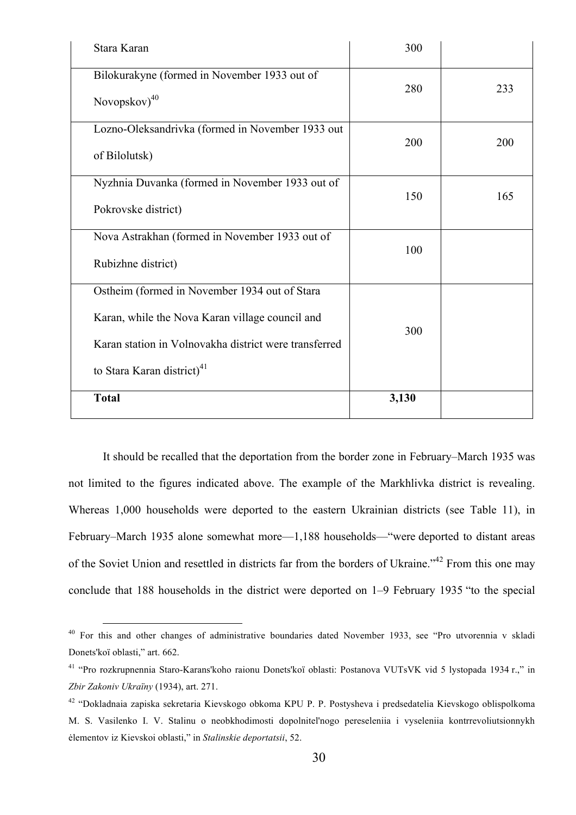| Stara Karan                                           | 300   |     |
|-------------------------------------------------------|-------|-----|
| Bilokurakyne (formed in November 1933 out of          | 280   | 233 |
| Novopskov) <sup>40</sup>                              |       |     |
| Lozno-Oleksandrivka (formed in November 1933 out      | 200   | 200 |
| of Bilolutsk)                                         |       |     |
| Nyzhnia Duvanka (formed in November 1933 out of       | 150   | 165 |
| Pokrovske district)                                   |       |     |
| Nova Astrakhan (formed in November 1933 out of        | 100   |     |
| Rubizhne district)                                    |       |     |
| Ostheim (formed in November 1934 out of Stara         |       |     |
| Karan, while the Nova Karan village council and       | 300   |     |
| Karan station in Volnovakha district were transferred |       |     |
| to Stara Karan district) <sup>41</sup>                |       |     |
| <b>Total</b>                                          | 3,130 |     |

It should be recalled that the deportation from the border zone in February–March 1935 was not limited to the figures indicated above. The example of the Markhlivka district is revealing. Whereas 1,000 households were deported to the eastern Ukrainian districts (see Table 11), in February–March 1935 alone somewhat more—1,188 households—"were deported to distant areas of the Soviet Union and resettled in districts far from the borders of Ukraine."<sup>42</sup> From this one may conclude that 188 households in the district were deported on 1–9 February 1935 "to the special

 <sup>40</sup> For this and other changes of administrative boundaries dated November 1933, see "Pro utvorennia v skladi Donets'koї oblasti," art. 662.

<sup>41</sup> "Pro rozkrupnennia Staro-Karans'koho raionu Donets'koї oblasti: Postanova VUTsVK vid 5 lystopada 1934 r.," in *Zbir Zakoniv Ukraїny* (1934), art. 271.

<sup>42</sup> "Dokladnaia zapiska sekretaria Kievskogo obkoma KPU P. P. Postysheva i predsedatelia Kievskogo oblispolkoma M. S. Vasilenko I. V. Stalinu o neobkhodimosti dopolnitel'nogo pereseleniia i vyseleniia kontrrevoliutsionnykh ėlementov iz Kievskoi oblasti," in *Stalinskie deportatsii*, 52.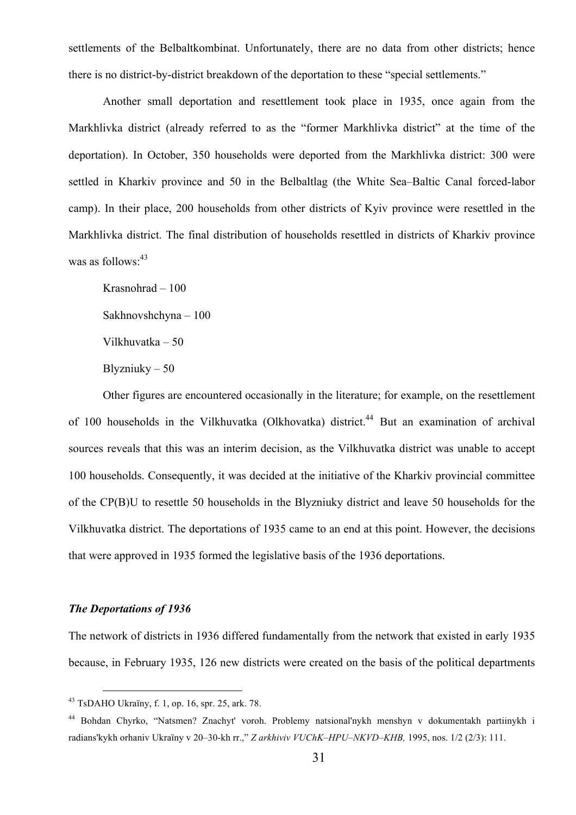settlements of the Belbaltkombinat. Unfortunately, there are no data from other districts; hence there is no district-by-district breakdown of the deportation to these "special settlements."

Another small deportation and resettlement took place in 1935, once again from the Markhlivka district (already referred to as the "former Markhlivka district" at the time of the deportation). In October, 350 households were deported from the Markhlivka district: 300 were settled in Kharkiv province and 50 in the Belbaltlag (the White Sea–Baltic Canal forced-labor camp). In their place, 200 households from other districts of Kyiv province were resettled in the Markhlivka district. The final distribution of households resettled in districts of Kharkiv province was as follows: $43$ 

Krasnohrad – 100 Sakhnovshchyna – 100 Vilkhuvatka – 50 Blyzniuky – 50

Other figures are encountered occasionally in the literature; for example, on the resettlement of 100 households in the Vilkhuvatka (Olkhovatka) district.<sup>44</sup> But an examination of archival sources reveals that this was an interim decision, as the Vilkhuvatka district was unable to accept 100 households. Consequently, it was decided at the initiative of the Kharkiv provincial committee of the CP(B)U to resettle 50 households in the Blyzniuky district and leave 50 households for the Vilkhuvatka district. The deportations of 1935 came to an end at this point. However, the decisions that were approved in 1935 formed the legislative basis of the 1936 deportations.

#### *The Deportations of 1936*

The network of districts in 1936 differed fundamentally from the network that existed in early 1935 because, in February 1935, 126 new districts were created on the basis of the political departments

 <sup>43</sup> TsDAHO Ukraїny, f. 1, op. 16, spr. 25, ark. 78.

<sup>44</sup> Bohdan Chyrko, "Natsmen? Znachyt' voroh. Problemy natsional'nykh menshyn v dokumentakh partiinykh i radians'kykh orhaniv Ukraïny v 20–30-kh rr.," *Z arkhiviv VUChK–HPU–NKVD–KHB,* 1995, nos. 1/2 (2/3): 111.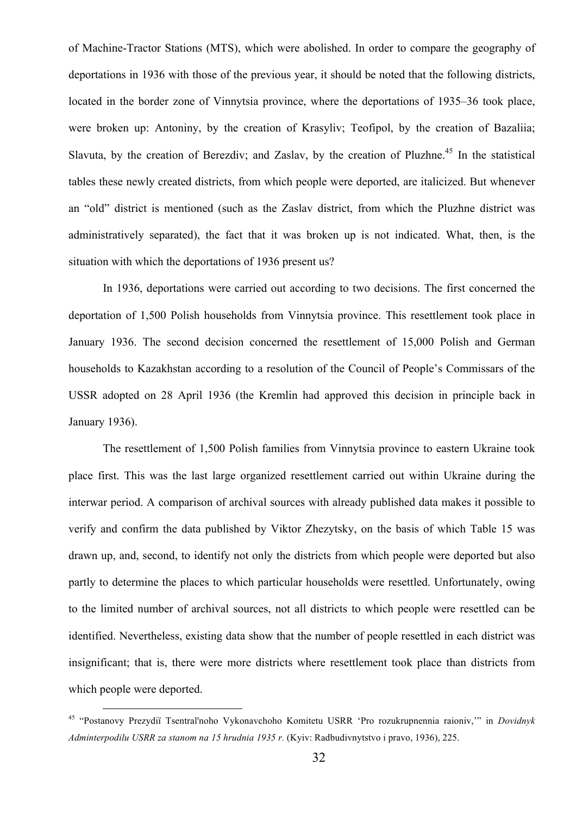of Machine-Tractor Stations (MTS), which were abolished. In order to compare the geography of deportations in 1936 with those of the previous year, it should be noted that the following districts, located in the border zone of Vinnytsia province, where the deportations of 1935–36 took place, were broken up: Antoniny, by the creation of Krasyliv; Teofipol, by the creation of Bazaliia; Slavuta, by the creation of Berezdiv; and Zaslav, by the creation of Pluzhne.<sup>45</sup> In the statistical tables these newly created districts, from which people were deported, are italicized. But whenever an "old" district is mentioned (such as the Zaslav district, from which the Pluzhne district was administratively separated), the fact that it was broken up is not indicated. What, then, is the situation with which the deportations of 1936 present us?

In 1936, deportations were carried out according to two decisions. The first concerned the deportation of 1,500 Polish households from Vinnytsia province. This resettlement took place in January 1936. The second decision concerned the resettlement of 15,000 Polish and German households to Kazakhstan according to a resolution of the Council of People's Commissars of the USSR adopted on 28 April 1936 (the Kremlin had approved this decision in principle back in January 1936).

The resettlement of 1,500 Polish families from Vinnytsia province to eastern Ukraine took place first. This was the last large organized resettlement carried out within Ukraine during the interwar period. A comparison of archival sources with already published data makes it possible to verify and confirm the data published by Viktor Zhezytsky, on the basis of which Table 15 was drawn up, and, second, to identify not only the districts from which people were deported but also partly to determine the places to which particular households were resettled. Unfortunately, owing to the limited number of archival sources, not all districts to which people were resettled can be identified. Nevertheless, existing data show that the number of people resettled in each district was insignificant; that is, there were more districts where resettlement took place than districts from which people were deported.

 <sup>45</sup> "Postanovy Prezydi<sup>ї</sup> Tsentral'noho Vykonavchoho Komitetu USRR 'Pro rozukrupnennia raioniv,'" in *Dovidnyk Adminterpodilu USRR za stanom na 15 hrudnia 1935 r.* (Kyiv: Radbudivnytstvo і pravo, 1936), 225.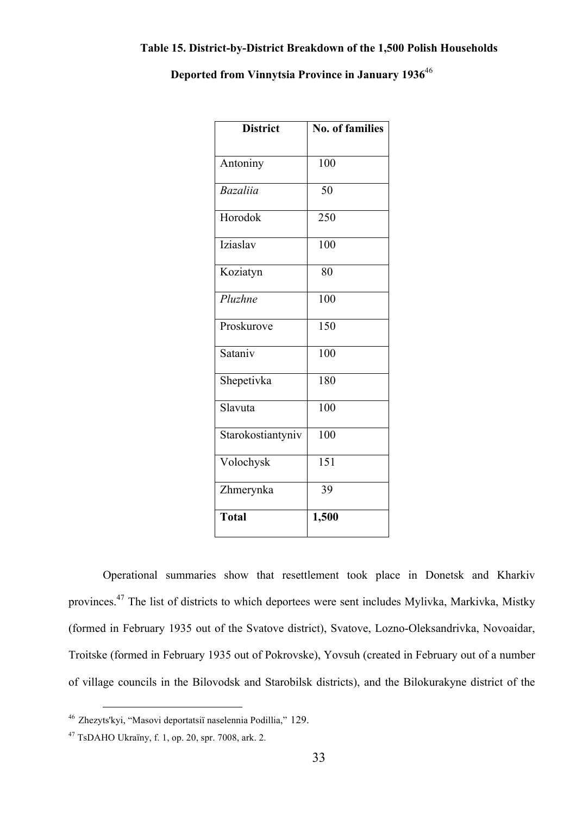### **Table 15. District-by-District Breakdown of the 1,500 Polish Households**

|  | Deported from Vinnytsia Province in January 1936 <sup>46</sup> |  |  |  |  |  |  |
|--|----------------------------------------------------------------|--|--|--|--|--|--|
|--|----------------------------------------------------------------|--|--|--|--|--|--|

| <b>District</b>   | <b>No. of families</b> |
|-------------------|------------------------|
| Antoniny          | 100                    |
| <b>Bazaliia</b>   | 50                     |
| Horodok           | 250                    |
| Iziaslav          | 100                    |
| Koziatyn          | 80                     |
| Pluzhne           | 100                    |
| Proskurove        | 150                    |
| Sataniv           | 100                    |
| Shepetivka        | 180                    |
| Slavuta           | 100                    |
| Starokostiantyniv | 100                    |
| Volochysk         | 151                    |
| Zhmerynka         | 39                     |
| <b>Total</b>      | 1,500                  |

Operational summaries show that resettlement took place in Donetsk and Kharkiv provinces.<sup>47</sup> The list of districts to which deportees were sent includes Mylivka, Markivka, Mistky (formed in February 1935 out of the Svatove district), Svatove, Lozno-Oleksandrivka, Novoaidar, Troitske (formed in February 1935 out of Pokrovske), Yovsuh (created in February out of a number of village councils in the Bilovodsk and Starobilsk districts), and the Bilokurakyne district of the

 <sup>46</sup> Zhezyts'kyi, "Masovi deportatsi<sup>ї</sup> naselennia Podillia," 129.

<sup>47</sup> TsDAHO Ukraїny, f. 1, op. 20, spr. 7008, ark. 2.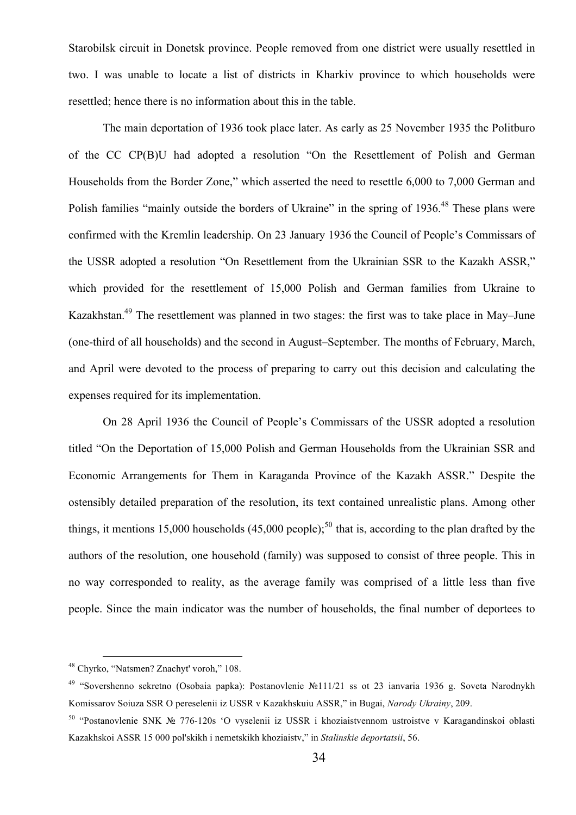Starobilsk circuit in Donetsk province. People removed from one district were usually resettled in two. I was unable to locate a list of districts in Kharkiv province to which households were resettled; hence there is no information about this in the table.

The main deportation of 1936 took place later. As early as 25 November 1935 the Politburo of the CC CP(B)U had adopted a resolution "On the Resettlement of Polish and German Households from the Border Zone," which asserted the need to resettle 6,000 to 7,000 German and Polish families "mainly outside the borders of Ukraine" in the spring of 1936.<sup>48</sup> These plans were confirmed with the Kremlin leadership. On 23 January 1936 the Council of People's Commissars of the USSR adopted a resolution "On Resettlement from the Ukrainian SSR to the Kazakh ASSR," which provided for the resettlement of 15,000 Polish and German families from Ukraine to Kazakhstan.<sup>49</sup> The resettlement was planned in two stages: the first was to take place in May–June (one-third of all households) and the second in August–September. The months of February, March, and April were devoted to the process of preparing to carry out this decision and calculating the expenses required for its implementation.

On 28 April 1936 the Council of People's Commissars of the USSR adopted a resolution titled "On the Deportation of 15,000 Polish and German Households from the Ukrainian SSR and Economic Arrangements for Them in Karaganda Province of the Kazakh ASSR." Despite the ostensibly detailed preparation of the resolution, its text contained unrealistic plans. Among other things, it mentions 15,000 households (45,000 people);<sup>50</sup> that is, according to the plan drafted by the authors of the resolution, one household (family) was supposed to consist of three people. This in no way corresponded to reality, as the average family was comprised of a little less than five people. Since the main indicator was the number of households, the final number of deportees to

 <sup>48</sup> Chyrko, "Natsmen? Znachyt' voroh," 108.

<sup>49</sup> "Sovershenno sekretno (Osobaia papka): Postanovlenie №111/21 ss ot 23 ianvaria 1936 g. Soveta Narodnykh Komissarov Soiuza SSR O pereselenii iz USSR v Kazakhskuiu ASSR," in Bugai, *Narody Ukrainy*, 209.

<sup>50</sup> "Postanovlenie SNK № 776-120s 'O vyselenii iz USSR i khoziaistvennom ustroistve v Karagandinskoi oblasti Kazakhskoi ASSR 15 000 pol'skikh i nemetskikh khoziaistv," in *Stalinskie deportatsii*, 56.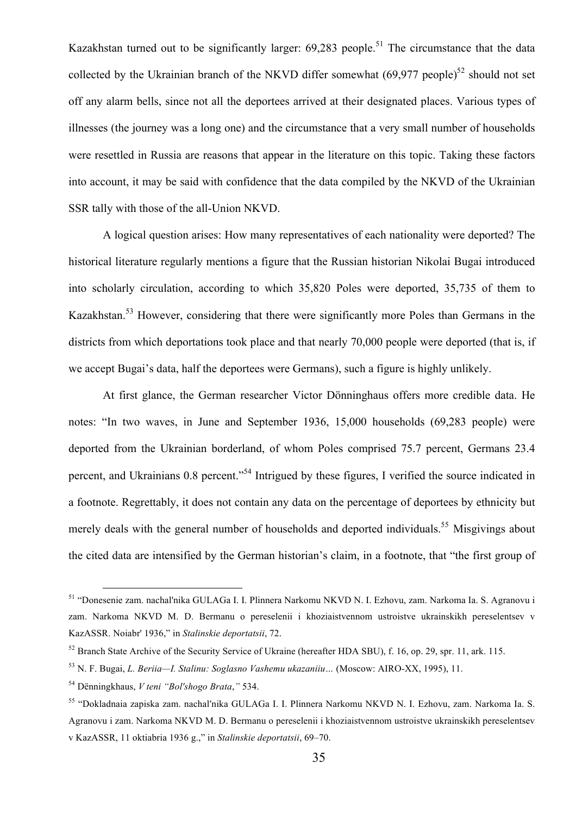Kazakhstan turned out to be significantly larger:  $69.283$  people.<sup>51</sup> The circumstance that the data collected by the Ukrainian branch of the NKVD differ somewhat  $(69,977 \text{ people})^{52}$  should not set off any alarm bells, since not all the deportees arrived at their designated places. Various types of illnesses (the journey was a long one) and the circumstance that a very small number of households were resettled in Russia are reasons that appear in the literature on this topic. Taking these factors into account, it may be said with confidence that the data compiled by the NKVD of the Ukrainian SSR tally with those of the all-Union NKVD.

A logical question arises: How many representatives of each nationality were deported? The historical literature regularly mentions a figure that the Russian historian Nikolai Bugai introduced into scholarly circulation, according to which 35,820 Poles were deported, 35,735 of them to Kazakhstan.<sup>53</sup> However, considering that there were significantly more Poles than Germans in the districts from which deportations took place and that nearly 70,000 people were deported (that is, if we accept Bugai's data, half the deportees were Germans), such a figure is highly unlikely.

At first glance, the German researcher Victor Dönninghaus offers more credible data. He notes: "In two waves, in June and September 1936, 15,000 households (69,283 people) were deported from the Ukrainian borderland, of whom Poles comprised 75.7 percent, Germans 23.4 percent, and Ukrainians 0.8 percent."<sup>54</sup> Intrigued by these figures, I verified the source indicated in a footnote. Regrettably, it does not contain any data on the percentage of deportees by ethnicity but merely deals with the general number of households and deported individuals.<sup>55</sup> Misgivings about the cited data are intensified by the German historian's claim, in a footnote, that "the first group of

 <sup>51</sup> "Donesenie zam. nachal'nika GULAGa I. I. Plinnera Narkomu NKVD N. I. Ezhovu, zam. Narkoma Ia. S. Agranovu i zam. Narkoma NKVD M. D. Bermanu o pereselenii i khoziaistvennom ustroistve ukrainskikh pereselentsev v KazASSR. Noiabr' 1936," in *Stalinskie deportatsii*, 72.

<sup>&</sup>lt;sup>52</sup> Branch State Archive of the Security Service of Ukraine (hereafter HDA SBU), f. 16, op. 29, spr. 11, ark. 115.

<sup>53</sup> N. F. Bugai, *L. Beriia—I. Stalinu: Soglasno Vashemu ukazaniiu…* (Moscow: AIRO-XX, 1995), 11.

<sup>54</sup> Dënningkhaus, *V teni "Bol′shogo Brata*,*"* 534.

<sup>55</sup> "Dokladnaia zapiska zam. nachal′nika GULAGa I. I. Plinnera Narkomu NKVD N. I. Ezhovu, zam. Narkoma Ia. S. Agranovu i zam. Narkoma NKVD M. D. Bermanu o pereselenii i khoziaistvennom ustroistve ukrainskikh pereselentsev v KazASSR, 11 oktiabria 1936 g.," in *Stalinskie deportatsii*, 69–70.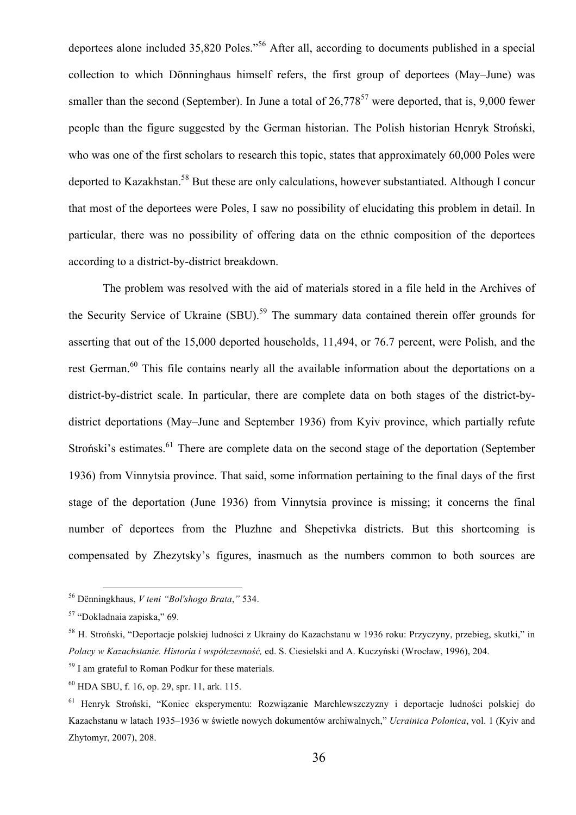deportees alone included 35,820 Poles."56 After all, according to documents published in a special collection to which Dönninghaus himself refers, the first group of deportees (May–June) was smaller than the second (September). In June a total of  $26.778^{57}$  were deported, that is, 9,000 fewer people than the figure suggested by the German historian. The Polish historian Henryk Stroński, who was one of the first scholars to research this topic, states that approximately 60,000 Poles were deported to Kazakhstan.<sup>58</sup> But these are only calculations, however substantiated. Although I concur that most of the deportees were Poles, I saw no possibility of elucidating this problem in detail. In particular, there was no possibility of offering data on the ethnic composition of the deportees according to a district-by-district breakdown.

The problem was resolved with the aid of materials stored in a file held in the Archives of the Security Service of Ukraine (SBU).<sup>59</sup> The summary data contained therein offer grounds for asserting that out of the 15,000 deported households, 11,494, or 76.7 percent, were Polish, and the rest German.<sup>60</sup> This file contains nearly all the available information about the deportations on a district-by-district scale. In particular, there are complete data on both stages of the district-bydistrict deportations (May–June and September 1936) from Kyiv province, which partially refute Stroński's estimates.<sup>61</sup> There are complete data on the second stage of the deportation (September 1936) from Vinnytsia province. That said, some information pertaining to the final days of the first stage of the deportation (June 1936) from Vinnytsia province is missing; it concerns the final number of deportees from the Pluzhne and Shepetivka districts. But this shortcoming is compensated by Zhezytsky's figures, inasmuch as the numbers common to both sources are

 <sup>56</sup> Dënningkhaus, *V teni "Bol′shogo Brata*,*"* 534.

<sup>57</sup> "Dokladnaia zapiska," 69.

<sup>58</sup> H. Stroński, "Deportacje polskiej ludności z Ukrainy do Kazachstanu w 1936 roku: Przyczyny, przebieg, skutki," in *Polacy w Kazachstanie. Historia i współczesność,* ed. S. Ciesielski and A. Kuczyński (Wrocław, 1996), 204.

<sup>59</sup> I am grateful to Roman Podkur for these materials.

<sup>60</sup> HDA SBU, f. 16, op. 29, spr. 11, ark. 115.

<sup>61</sup> Henryk Stroński, "Koniec eksperymentu: Rozwiązanie Marchlewszczyzny i deportacje ludności polskiej do Kazachstanu w latach 1935–1936 w świetle nowych dokumentów archiwalnych," *Ucrainica Polonica*, vol. 1 (Kyiv and Zhytomyr, 2007), 208.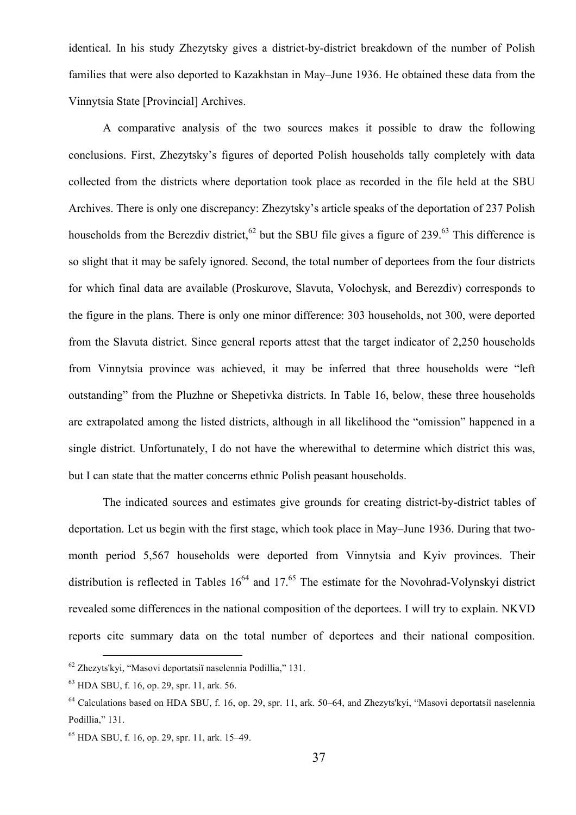identical. In his study Zhezytsky gives a district-by-district breakdown of the number of Polish families that were also deported to Kazakhstan in May–June 1936. He obtained these data from the Vinnytsia State [Provincial] Archives.

A comparative analysis of the two sources makes it possible to draw the following conclusions. First, Zhezytsky's figures of deported Polish households tally completely with data collected from the districts where deportation took place as recorded in the file held at the SBU Archives. There is only one discrepancy: Zhezytsky's article speaks of the deportation of 237 Polish households from the Berezdiv district,  $62$  but the SBU file gives a figure of 239.<sup>63</sup> This difference is so slight that it may be safely ignored. Second, the total number of deportees from the four districts for which final data are available (Proskurove, Slavuta, Volochysk, and Berezdiv) corresponds to the figure in the plans. There is only one minor difference: 303 households, not 300, were deported from the Slavuta district. Since general reports attest that the target indicator of 2,250 households from Vinnytsia province was achieved, it may be inferred that three households were "left outstanding" from the Pluzhne or Shepetivka districts. In Table 16, below, these three households are extrapolated among the listed districts, although in all likelihood the "omission" happened in a single district. Unfortunately, I do not have the wherewithal to determine which district this was, but I can state that the matter concerns ethnic Polish peasant households.

The indicated sources and estimates give grounds for creating district-by-district tables of deportation. Let us begin with the first stage, which took place in May–June 1936. During that twomonth period 5,567 households were deported from Vinnytsia and Kyiv provinces. Their distribution is reflected in Tables  $16^{64}$  and  $17^{65}$ . The estimate for the Novohrad-Volynskyi district revealed some differences in the national composition of the deportees. I will try to explain. NKVD reports cite summary data on the total number of deportees and their national composition.

 <sup>62</sup> Zhezyts'kyi, "Masovi deportatsi<sup>ї</sup> naselennia Podillia," 131.

<sup>63</sup> HDA SBU, f. 16, op. 29, spr. 11, ark. 56.

<sup>64</sup> Calculations based on HDA SBU, f. 16, op. 29, spr. 11, ark. 50–64, and Zhezyts'kyi, "Masovi deportatsiї naselennia Podillia," 131.

<sup>65</sup> HDA SBU, f. 16, op. 29, spr. 11, ark. 15–49.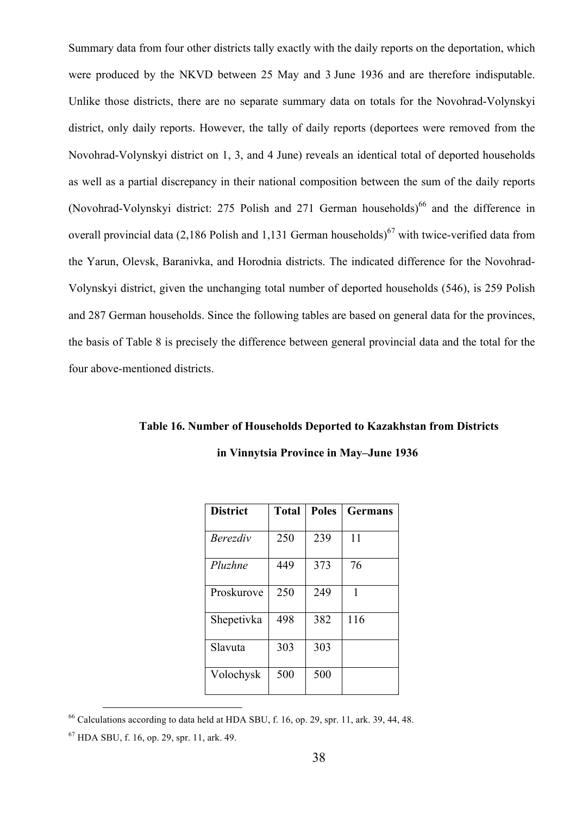Summary data from four other districts tally exactly with the daily reports on the deportation, which were produced by the NKVD between 25 May and 3 June 1936 and are therefore indisputable. Unlike those districts, there are no separate summary data on totals for the Novohrad-Volynskyi district, only daily reports. However, the tally of daily reports (deportees were removed from the Novohrad-Volynskyi district on 1, 3, and 4 June) reveals an identical total of deported households as well as a partial discrepancy in their national composition between the sum of the daily reports (Novohrad-Volynskyi district: 275 Polish and 271 German households)<sup>66</sup> and the difference in overall provincial data  $(2,186$  Polish and 1,131 German households)<sup>67</sup> with twice-verified data from the Yarun, Olevsk, Baranivka, and Horodnia districts. The indicated difference for the Novohrad-Volynskyi district, given the unchanging total number of deported households (546), is 259 Polish and 287 German households. Since the following tables are based on general data for the provinces, the basis of Table 8 is precisely the difference between general provincial data and the total for the four above-mentioned districts.

**Table 16. Number of Households Deported to Kazakhstan from Districts**

| <b>District</b> | <b>Total</b> | <b>Poles</b> | <b>Germans</b> |
|-----------------|--------------|--------------|----------------|
| <i>Berezdiv</i> | 250          | 239          | 11             |
| Pluzhne         | 449          | 373          | 76             |
| Proskurove      | 250          | 249          | 1              |
| Shepetivka      | 498          | 382          | 116            |
| Slavuta         | 303          | 303          |                |
| Volochysk       | 500          | 500          |                |

**in Vinnytsia Province in May–June 1936**

 $66$  Calculations according to data held at HDA SBU, f. 16, op. 29, spr. 11, ark. 39, 44, 48.

<sup>67</sup> HDA SBU, f. 16, op. 29, spr. 11, ark. 49.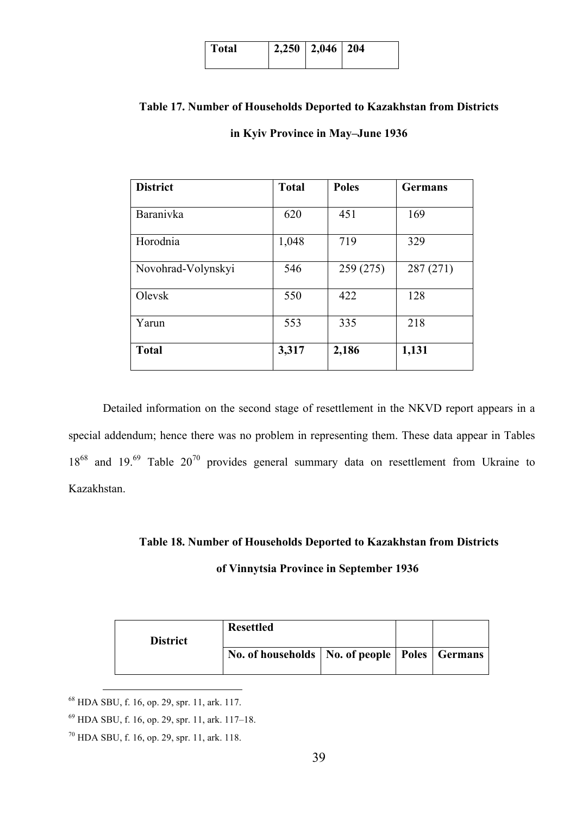| Total | $2,250$   2,046   204 |  |
|-------|-----------------------|--|
|       |                       |  |

### **Table 17. Number of Households Deported to Kazakhstan from Districts**

### **in Kyiv Province in May–June 1936**

| <b>District</b>    | <b>Total</b> | <b>Poles</b> | <b>Germans</b> |
|--------------------|--------------|--------------|----------------|
| Baranivka          | 620          | 451          | 169            |
| Horodnia           | 1,048        | 719          | 329            |
| Novohrad-Volynskyi | 546          | 259 (275)    | 287 (271)      |
| Olevsk             | 550          | 422          | 128            |
| Yarun              | 553          | 335          | 218            |
| <b>Total</b>       | 3,317        | 2,186        | 1,131          |

Detailed information on the second stage of resettlement in the NKVD report appears in a special addendum; hence there was no problem in representing them. These data appear in Tables  $18^{68}$  and  $19.^{69}$  Table  $20^{70}$  provides general summary data on resettlement from Ukraine to Kazakhstan.

### **Table 18. Number of Households Deported to Kazakhstan from Districts**

### **of Vinnytsia Province in September 1936**

| <b>District</b> | <b>Resettled</b>                                    |  |  |
|-----------------|-----------------------------------------------------|--|--|
|                 | No. of households   No. of people   Poles   Germans |  |  |

 <sup>68</sup> HDA SBU, f. 16, op. 29, spr. 11, ark. 117.

<sup>69</sup> HDA SBU, f. 16, op. 29, spr. 11, ark. 117–18.

<sup>70</sup> HDA SBU, f. 16, op. 29, spr. 11, ark. 118.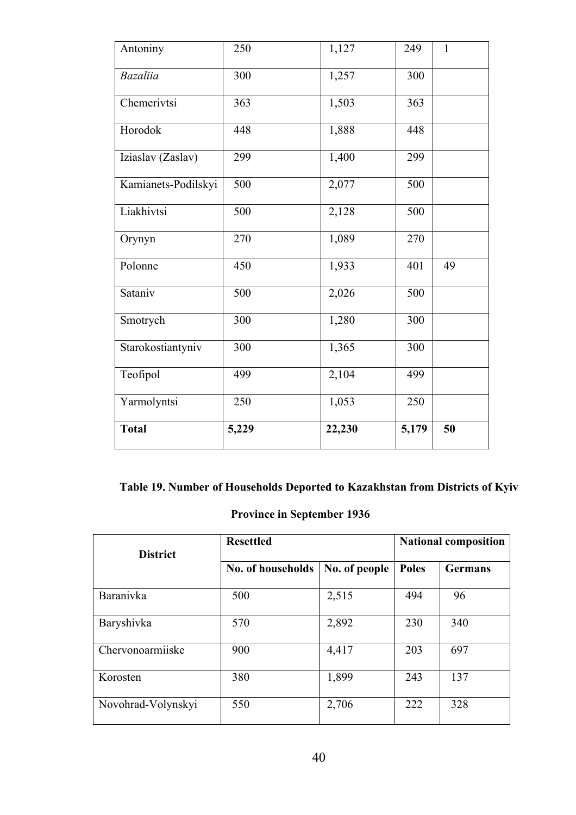| Antoniny            | 250   | 1,127  | 249   | $\mathbf{1}$ |
|---------------------|-------|--------|-------|--------------|
| <b>Bazaliia</b>     | 300   | 1,257  | 300   |              |
| Chemerivtsi         | 363   | 1,503  | 363   |              |
| Horodok             | 448   | 1,888  | 448   |              |
| Iziaslav (Zaslav)   | 299   | 1,400  | 299   |              |
| Kamianets-Podilskyi | 500   | 2,077  | 500   |              |
| Liakhivtsi          | 500   | 2,128  | 500   |              |
| Orynyn              | 270   | 1,089  | 270   |              |
| Polonne             | 450   | 1,933  | 401   | 49           |
| Sataniv             | 500   | 2,026  | 500   |              |
| Smotrych            | 300   | 1,280  | 300   |              |
| Starokostiantyniv   | 300   | 1,365  | 300   |              |
| Teofipol            | 499   | 2,104  | 499   |              |
| Yarmolyntsi         | 250   | 1,053  | 250   |              |
| <b>Total</b>        | 5,229 | 22,230 | 5,179 | 50           |

## **Table 19. Number of Households Deported to Kazakhstan from Districts of Kyiv**

### **Province in September 1936**

| <b>District</b>    | <b>Resettled</b>  | <b>National composition</b> |              |                |
|--------------------|-------------------|-----------------------------|--------------|----------------|
|                    | No. of households | No. of people               | <b>Poles</b> | <b>Germans</b> |
| Baranivka          | 500               | 2,515                       | 494          | 96             |
| Baryshivka         | 570               | 2,892                       | 230          | 340            |
| Chervonoarmiiske   | 900               | 4,417                       | 203          | 697            |
| Korosten           | 380               | 1,899                       | 243          | 137            |
| Novohrad-Volynskyi | 550               | 2,706                       | 222          | 328            |